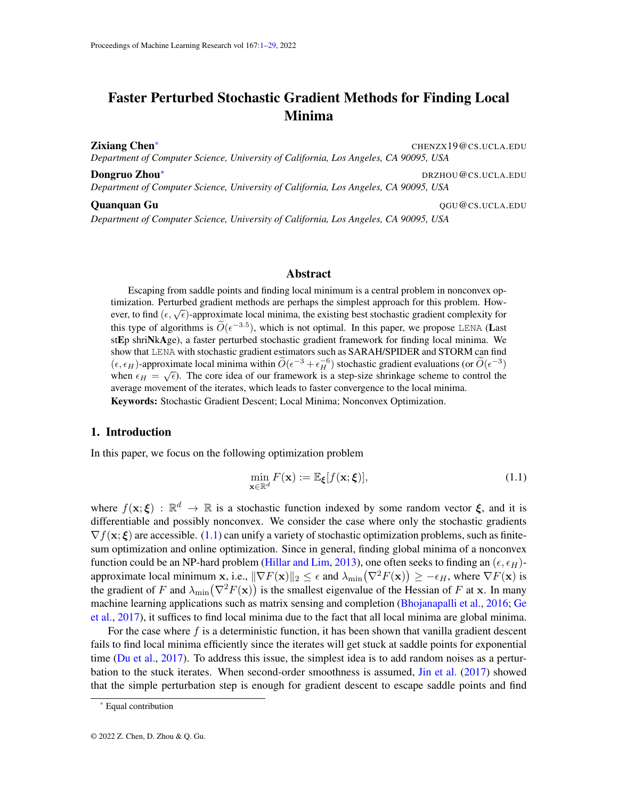# <span id="page-0-0"></span>Faster Perturbed Stochastic Gradient Methods for Finding Local Minima

**Zixiang Chen\*** CHENZX19@CS.UCLA.EDU *Department of Computer Science, University of California, Los Angeles, CA 90095, USA*

**Dongruo Zhou**\* and the control of the control of the control of the control of the control of the control of the control of the control of the control of the control of the control of the control of the control of the co *Department of Computer Science, University of California, Los Angeles, CA 90095, USA*

**Quanquan Gu** QGU@CS.UCLA.EDU *Department of Computer Science, University of California, Los Angeles, CA 90095, USA*

#### Abstract

Escaping from saddle points and finding local minimum is a central problem in nonconvex optimization. Perturbed gradient methods are perhaps the simplest approach for this problem. How- $\mu$  and  $\epsilon$ ,  $\sqrt{\epsilon}$  approximate local minima, the existing best stochastic gradient complexity for this type of algorithms is  $\tilde{O}(\epsilon^{-3.5})$ , which is not optimal. In this paper, we propose LENA (Last stEp shriNkAge), a faster perturbed stochastic gradient framework for finding local minima. We show that LENA with stochastic gradient estimators such as SARAH/SPIDER and STORM can find  $(\epsilon, \epsilon_H)$ -approximate local minima within  $\widetilde{O}(\epsilon^{-3} + \epsilon_H^{-6})$  stochastic gradient evaluations (or  $\widetilde{O}(\epsilon^{-3})$ ) when  $\epsilon_H = \sqrt{\epsilon}$ ). The core idea of our framework is a step-size shrinkage scheme to control the average movement of the iterates, which leads to faster convergence to the local minima. Keywords: Stochastic Gradient Descent; Local Minima; Nonconvex Optimization.

## 1. Introduction

In this paper, we focus on the following optimization problem

<span id="page-0-1"></span>
$$
\min_{\mathbf{x} \in \mathbb{R}^d} F(\mathbf{x}) := \mathbb{E}_{\xi}[f(\mathbf{x}; \xi)],\tag{1.1}
$$

where  $f(\mathbf{x}; \boldsymbol{\xi}) : \mathbb{R}^d \to \mathbb{R}$  is a stochastic function indexed by some random vector  $\boldsymbol{\xi}$ , and it is differentiable and possibly nonconvex. We consider the case where only the stochastic gradients  $\nabla f(\mathbf{x}; \boldsymbol{\xi})$  are accessible. [\(1.1\)](#page-0-1) can unify a variety of stochastic optimization problems, such as finitesum optimization and online optimization. Since in general, finding global minima of a nonconvex function could be an NP-hard problem [\(Hillar and Lim,](#page-13-0) [2013\)](#page-13-0), one often seeks to finding an  $(\epsilon, \epsilon_H)$ approximate local minimum x, i.e.,  $\|\nabla F(\mathbf{x})\|_2 \leq \epsilon$  and  $\lambda_{\min}(\nabla^2 F(\mathbf{x})) \geq -\epsilon_H$ , where  $\nabla F(\mathbf{x})$  is the gradient of F and  $\lambda_{min}(\nabla^2 F(\mathbf{x}))$  is the smallest eigenvalue of the Hessian of F at x. In many machine learning applications such as matrix sensing and completion [\(Bhojanapalli et al.,](#page-12-0) [2016;](#page-12-0) [Ge](#page-13-1) [et al.,](#page-13-1) [2017\)](#page-13-1), it suffices to find local minima due to the fact that all local minima are global minima.

For the case where  $f$  is a deterministic function, it has been shown that vanilla gradient descent fails to find local minima efficiently since the iterates will get stuck at saddle points for exponential time [\(Du et al.,](#page-13-2) [2017\)](#page-13-2). To address this issue, the simplest idea is to add random noises as a perturbation to the stuck iterates. When second-order smoothness is assumed, [Jin et al.](#page-13-3) [\(2017\)](#page-13-3) showed that the simple perturbation step is enough for gradient descent to escape saddle points and find

<sup>\*</sup> Equal contribution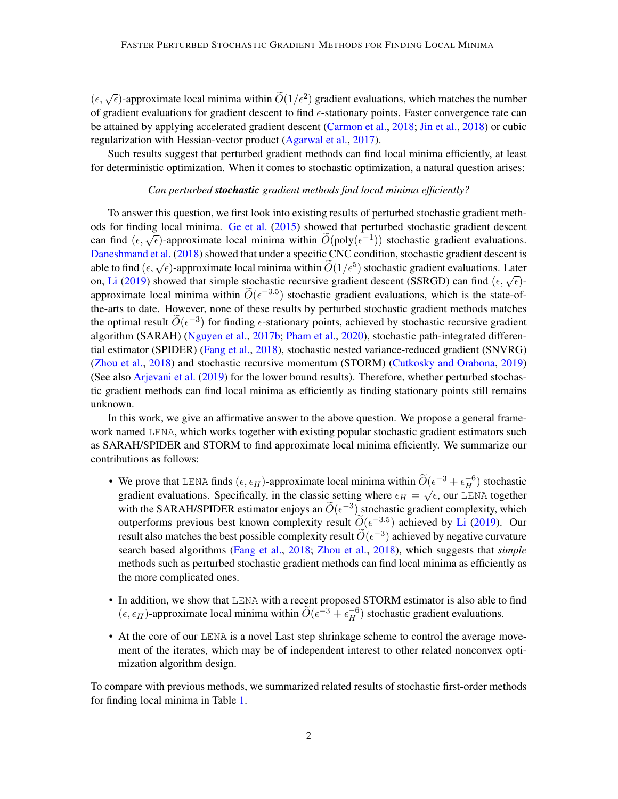$(\epsilon, \sqrt{\epsilon})$ -approximate local minima within  $\widetilde{O}(1/\epsilon^2)$  gradient evaluations, which matches the number of gradient evaluations for gradient descent to find  $\epsilon$ -stationary points. Faster convergence rate can be attained by applying accelerated gradient descent [\(Carmon et al.,](#page-12-1) [2018;](#page-12-1) [Jin et al.,](#page-13-4) [2018\)](#page-13-4) or cubic regularization with Hessian-vector product [\(Agarwal et al.,](#page-12-2) [2017\)](#page-12-2).

Such results suggest that perturbed gradient methods can find local minima efficiently, at least for deterministic optimization. When it comes to stochastic optimization, a natural question arises:

#### *Can perturbed stochastic gradient methods find local minima efficiently?*

To answer this question, we first look into existing results of perturbed stochastic gradient methods for finding local minima. [Ge et al.](#page-13-5) [\(2015\)](#page-13-5) showed that perturbed stochastic gradient descent can find  $(\epsilon, \sqrt{\epsilon})$ -approximate local minima within  $\widetilde{O}(\text{poly}(\epsilon^{-1}))$  stochastic gradient evaluations. [Daneshmand et al.](#page-13-6) [\(2018\)](#page-13-6) showed that under a specific CNC condition, stochastic gradient descent is Dansmirand et al. (2016) showed that under a specific Cive condition, stochastic gradient descent is<br>able to find ( $\epsilon$ ,  $\sqrt{\epsilon}$ )-approximate local minima within  $\widetilde{O}(1/\epsilon^5)$  stochastic gradient evaluations. Later on, [Li](#page-13-7) [\(2019\)](#page-13-7) showed that simple stochastic recursive gradient descent (SSRGD) can find  $(\epsilon, \sqrt{\epsilon})$ -<br>on, Li (2019) showed that simple stochastic recursive gradient descent (SSRGD) can find  $(\epsilon, \sqrt{\epsilon})$ approximate local minima within  $\widetilde{O}(\epsilon^{-3.5})$  stochastic gradient evaluations, which is the state-ofthe-arts to date. However, none of these results by perturbed stochastic gradient methods matches the optimal result  $\widetilde{O}(\epsilon^{-3})$  for finding  $\epsilon$ -stationary points, achieved by stochastic recursive gradient algorithm (SARAH) [\(Nguyen et al.,](#page-14-0) [2017b;](#page-14-0) [Pham et al.,](#page-14-1) [2020\)](#page-14-1), stochastic path-integrated differential estimator (SPIDER) [\(Fang et al.,](#page-13-8) [2018\)](#page-13-8), stochastic nested variance-reduced gradient (SNVRG) [\(Zhou et al.,](#page-14-2) [2018\)](#page-14-2) and stochastic recursive momentum (STORM) [\(Cutkosky and Orabona,](#page-12-3) [2019\)](#page-12-3) (See also [Arjevani et al.](#page-12-4) [\(2019\)](#page-12-4) for the lower bound results). Therefore, whether perturbed stochastic gradient methods can find local minima as efficiently as finding stationary points still remains unknown.

In this work, we give an affirmative answer to the above question. We propose a general framework named LENA, which works together with existing popular stochastic gradient estimators such as SARAH/SPIDER and STORM to find approximate local minima efficiently. We summarize our contributions as follows:

- We prove that LENA finds  $(\epsilon, \epsilon_H)$ -approximate local minima within  $\widetilde{O}(\epsilon^{-3} + \epsilon_H^{-6})$  stochastic we prove that LENA mas  $(\epsilon, \epsilon_H)$ -approximate focal minima whilm  $O(\epsilon^+ + \epsilon_H^-)$  stochastic gradient evaluations. Specifically, in the classic setting where  $\epsilon_H = \sqrt{\epsilon}$ , our LENA together with the SARAH/SPIDER estimator enjoys an  $\widetilde{O}(\epsilon^{-3})$  stochastic gradient complexity, which outperforms previous best known complexity result  $\widetilde{O}(\epsilon^{-3.5})$  achieved by [Li](#page-13-7) [\(2019\)](#page-13-7). Our result also matches the best possible complexity result  $\widetilde{O}(\epsilon^{-3})$  achieved by negative curvature search based algorithms [\(Fang et al.,](#page-13-8) [2018;](#page-13-8) [Zhou et al.,](#page-14-2) [2018\)](#page-14-2), which suggests that *simple* methods such as perturbed stochastic gradient methods can find local minima as efficiently as the more complicated ones.
- In addition, we show that LENA with a recent proposed STORM estimator is also able to find  $(\epsilon, \epsilon_H)$ -approximate local minima within  $\widetilde{O}(\epsilon^{-3} + \epsilon_H^{-6})$  stochastic gradient evaluations.
- At the core of our LENA is a novel Last step shrinkage scheme to control the average movement of the iterates, which may be of independent interest to other related nonconvex optimization algorithm design.

To compare with previous methods, we summarized related results of stochastic first-order methods for finding local minima in Table [1.](#page-2-0)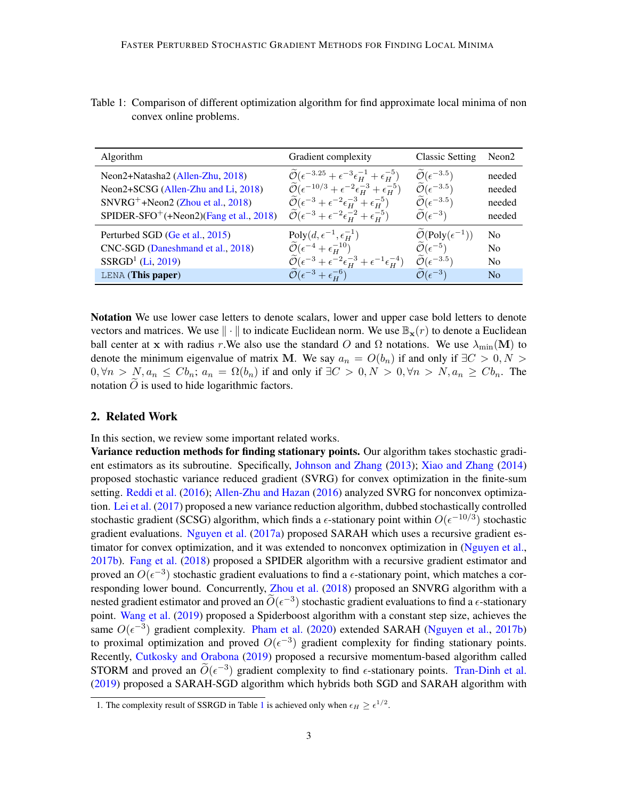| Algorithm                                           | Gradient complexity                                                                           | <b>Classic Setting</b>                     | Neon <sub>2</sub> |
|-----------------------------------------------------|-----------------------------------------------------------------------------------------------|--------------------------------------------|-------------------|
| Neon2+Natasha2 (Allen-Zhu, 2018)                    | $\mathcal{O}(\epsilon^{-3.25} + \epsilon^{-3} \epsilon_H^{-1} + \epsilon_H^{-5})$             | $\widetilde{\mathcal{O}}(\epsilon^{-3.5})$ | needed            |
| Neon2+SCSG (Allen-Zhu and Li, 2018)                 | $\widetilde{\mathcal{O}}(\epsilon^{-10/3} + \epsilon^{-2} \epsilon_H^{-3} + \epsilon_H^{-5})$ | $\widetilde{\mathcal{O}}(\epsilon^{-3.5})$ | needed            |
| $SNVRG^+ + Neon2$ (Zhou et al., 2018)               | $\widetilde{\mathcal{O}}(\epsilon^{-3} + \epsilon^{-2} \epsilon_H^{-3} + \epsilon_H^{-5})$    | $\widetilde{\mathcal{O}}(\epsilon^{-3.5})$ | needed            |
| SPIDER-SFO <sup>+</sup> (+Neon2)(Fang et al., 2018) | $\widetilde{\mathcal{O}}(\epsilon^{-3} + \epsilon^{-2} \epsilon_H^{-2} + \epsilon_H^{-5})$    | $\widetilde{\mathcal{O}}(\epsilon^{-3})$   | needed            |
| Perturbed SGD (Ge et al., 2015)                     | Poly $(d, \epsilon^{-1}, \epsilon_H^{-1})$                                                    | $\mathcal{O}(\text{Poly}(\epsilon^{-1}))$  | N <sub>0</sub>    |
| CNC-SGD (Daneshmand et al., 2018)                   | $\widetilde{\mathcal{O}}(\epsilon^{-4} + \epsilon^{-10}_H)$                                   | $\widetilde{\mathcal{O}}(\epsilon^{-5})$   | N <sub>0</sub>    |
| $SSRGD1$ (Li, 2019)                                 | $\mathcal{O}(\epsilon^{-3} + \epsilon^{-2} \epsilon_H^{-3} + \epsilon^{-1} \epsilon_H^{-4})$  | $\widetilde{\mathcal{O}}(\epsilon^{-3.5})$ | N <sub>0</sub>    |
| LENA (This paper)                                   | $\mathcal{O}(\epsilon^{-3} + \epsilon^{-6}_{\rm H})$                                          | $\mathcal{O}(\epsilon^{-3})$               | No                |

<span id="page-2-0"></span>Table 1: Comparison of different optimization algorithm for find approximate local minima of non convex online problems.

Notation We use lower case letters to denote scalars, lower and upper case bold letters to denote vectors and matrices. We use  $\|\cdot\|$  to indicate Euclidean norm. We use  $\mathbb{B}_{\mathbf{x}}(r)$  to denote a Euclidean ball center at x with radius r.We also use the standard O and  $\Omega$  notations. We use  $\lambda_{\min}(\mathbf{M})$  to denote the minimum eigenvalue of matrix M. We say  $a_n = O(b_n)$  if and only if  $\exists C > 0, N > 0$  $0, \forall n > N, a_n \leq C b_n$ ;  $a_n = \Omega(b_n)$  if and only if  $\exists C > 0, N > 0, \forall n > N, a_n \geq C b_n$ . The notation  $\ddot{O}$  is used to hide logarithmic factors.

# 2. Related Work

In this section, we review some important related works.

Variance reduction methods for finding stationary points. Our algorithm takes stochastic gradient estimators as its subroutine. Specifically, [Johnson and Zhang](#page-13-9) [\(2013\)](#page-13-9); [Xiao and Zhang](#page-14-3) [\(2014\)](#page-14-3) proposed stochastic variance reduced gradient (SVRG) for convex optimization in the finite-sum setting. [Reddi et al.](#page-14-4) [\(2016\)](#page-14-4); [Allen-Zhu and Hazan](#page-12-7) [\(2016\)](#page-12-7) analyzed SVRG for nonconvex optimization. [Lei et al.](#page-13-10) [\(2017\)](#page-13-10) proposed a new variance reduction algorithm, dubbed stochastically controlled stochastic gradient (SCSG) algorithm, which finds a  $\epsilon$ -stationary point within  $O(\epsilon^{-10/3})$  stochastic gradient evaluations. [Nguyen et al.](#page-13-11) [\(2017a\)](#page-13-11) proposed SARAH which uses a recursive gradient estimator for convex optimization, and it was extended to nonconvex optimization in [\(Nguyen et al.,](#page-14-0) [2017b\)](#page-14-0). [Fang et al.](#page-13-8) [\(2018\)](#page-13-8) proposed a SPIDER algorithm with a recursive gradient estimator and proved an  $O(\epsilon^{-3})$  stochastic gradient evaluations to find a  $\epsilon$ -stationary point, which matches a cor-responding lower bound. Concurrently, [Zhou et al.](#page-14-2) [\(2018\)](#page-14-2) proposed an SNVRG algorithm with a nested gradient estimator and proved an  $\widetilde{O}(\epsilon^{-3})$  stochastic gradient evaluations to find a  $\epsilon$ -stationary point. [Wang et al.](#page-14-5) [\(2019\)](#page-14-5) proposed a Spiderboost algorithm with a constant step size, achieves the same  $O(\epsilon^{-3})$  gradient complexity. [Pham et al.](#page-14-1) [\(2020\)](#page-14-1) extended SARAH [\(Nguyen et al.,](#page-14-0) [2017b\)](#page-14-0) to proximal optimization and proved  $O(\epsilon^{-3})$  gradient complexity for finding stationary points. Recently, [Cutkosky and Orabona](#page-12-3) [\(2019\)](#page-12-3) proposed a recursive momentum-based algorithm called STORM and proved an  $\widetilde{O}(\epsilon^{-3})$  gradient complexity to find  $\epsilon$ -stationary points. [Tran-Dinh et al.](#page-14-6) [\(2019\)](#page-14-6) proposed a SARAH-SGD algorithm which hybrids both SGD and SARAH algorithm with

[<sup>1</sup>](#page-2-0). The complexity result of SSRGD in Table 1 is achieved only when  $\epsilon_H \geq \epsilon^{1/2}$ .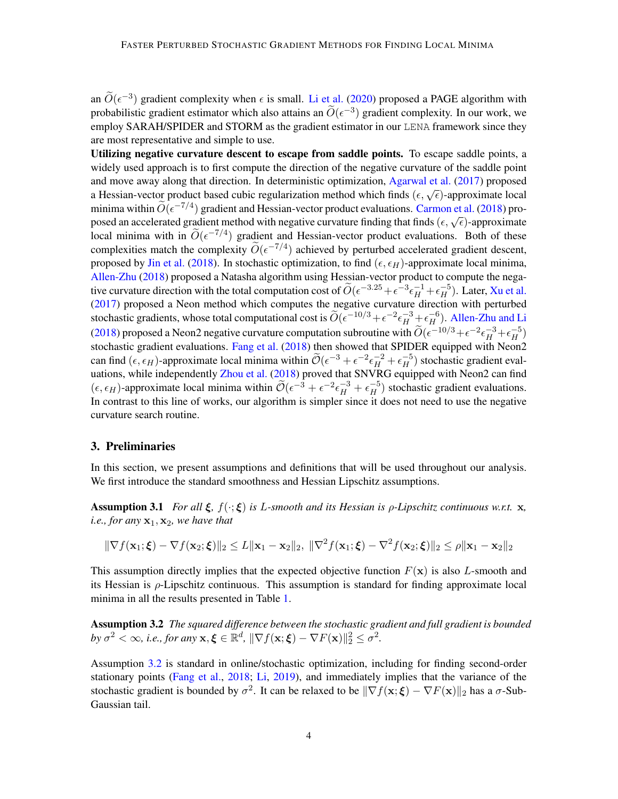an  $\widetilde{O}(\epsilon^{-3})$  gradient complexity when  $\epsilon$  is small. [Li et al.](#page-13-12) [\(2020\)](#page-13-12) proposed a PAGE algorithm with probabilistic gradient estimator which also attains an  $\widetilde{O}(\epsilon^{-3})$  gradient complexity. In our work, we employ SARAH/SPIDER and STORM as the gradient estimator in our LENA framework since they are most representative and simple to use.

Utilizing negative curvature descent to escape from saddle points. To escape saddle points, a widely used approach is to first compute the direction of the negative curvature of the saddle point and move away along that direction. In deterministic optimization, [Agarwal et al.](#page-12-2) [\(2017\)](#page-12-2) proposed a Hessian-vector product based cubic regularization method which finds  $(\epsilon, \sqrt{\epsilon})$ -approximate local minima within  $\widetilde{O}(\epsilon^{-7/4})$  gradient and Hessian-vector product evaluations. [Carmon et al.](#page-12-1) [\(2018\)](#page-12-1) proposed an accelerated gradient method with negative curvature finding that finds  $(\epsilon, \sqrt{\epsilon})$ -approximate local minima with in  $\widetilde{O}(\epsilon^{-7/4})$  gradient and Hessian-vector product evaluations. Both of these complexities match the complexity  $\widetilde{O}(\epsilon^{-7/4})$  achieved by perturbed accelerated gradient descent, proposed by [Jin et al.](#page-13-4) [\(2018\)](#page-13-4). In stochastic optimization, to find ( $\epsilon, \epsilon_H$ )-approximate local minima, [Allen-Zhu](#page-12-5) [\(2018\)](#page-12-5) proposed a Natasha algorithm using Hessian-vector product to compute the negative curvature direction with the total computation cost of  $\widetilde{O}(\epsilon^{-3.25} + \epsilon^{-3} \epsilon_H^{-1} + \epsilon_H^{-5})$ . Later, [Xu et al.](#page-14-7) [\(2017\)](#page-14-7) proposed a Neon method which computes the negative curvature direction with perturbed stochastic gradients, whose total computational cost is  $\widetilde{O}(\epsilon^{-10/3} + \epsilon^{-2} \epsilon_H^{-3} \pm \epsilon_H^{-6})$ . [Allen-Zhu and Li](#page-12-6) [\(2018\)](#page-12-6) proposed a Neon2 negative curvature computation subroutine with  $\widetilde{O}(\epsilon^{-10/3} + \epsilon^{-2} \epsilon_H^{-3} + \epsilon_H^{-5})$ stochastic gradient evaluations. [Fang et al.](#page-13-8) [\(2018\)](#page-13-8) then showed that SPIDER equipped with Neon2 can find  $(\epsilon, \epsilon_H)$ -approximate local minima within  $\widetilde{\mathcal{O}}(\epsilon^{-3} + \epsilon^{-2} \epsilon_H^{-2} + \epsilon_H^{-5})$  stochastic gradient evaluations, while independently [Zhou et al.](#page-14-2) [\(2018\)](#page-14-2) proved that SNVRG equipped with Neon2 can find  $(\epsilon, \epsilon_H)$ -approximate local minima within  $\widetilde{\mathcal{O}}(\epsilon^{-3} + \epsilon^{-2} \epsilon_H^{-3} + \epsilon_H^{-5})$  stochastic gradient evaluations. In contrast to this line of works, our algorithm is simpler since it does not need to use the negative curvature search routine.

#### 3. Preliminaries

In this section, we present assumptions and definitions that will be used throughout our analysis. We first introduce the standard smoothness and Hessian Lipschitz assumptions.

<span id="page-3-1"></span>Assumption 3.1 *For all* ξ*,* f(·; ξ) *is* L*-smooth and its Hessian is* ρ*-Lipschitz continuous w.r.t.* x*, i.e., for any*  $x_1$ ,  $x_2$ *, we have that* 

$$
\|\nabla f(\mathbf{x}_1;\boldsymbol{\xi})-\nabla f(\mathbf{x}_2;\boldsymbol{\xi})\|_2\leq L\|\mathbf{x}_1-\mathbf{x}_2\|_2,\ \|\nabla^2 f(\mathbf{x}_1;\boldsymbol{\xi})-\nabla^2 f(\mathbf{x}_2;\boldsymbol{\xi})\|_2\leq \rho\|\mathbf{x}_1-\mathbf{x}_2\|_2
$$

This assumption directly implies that the expected objective function  $F(\mathbf{x})$  is also L-smooth and its Hessian is  $\rho$ -Lipschitz continuous. This assumption is standard for finding approximate local minima in all the results presented in Table [1.](#page-2-0)

<span id="page-3-0"></span>Assumption 3.2 *The squared difference between the stochastic gradient and full gradient is bounded by*  $\sigma^2 < \infty$ , *i.e., for any*  $\mathbf{x}, \boldsymbol{\xi} \in \mathbb{R}^d$ ,  $\|\nabla f(\mathbf{x}; \boldsymbol{\xi}) - \nabla F(\mathbf{x})\|_2^2 \leq \sigma^2$ .

Assumption [3.2](#page-3-0) is standard in online/stochastic optimization, including for finding second-order stationary points [\(Fang et al.,](#page-13-8) [2018;](#page-13-8) [Li,](#page-13-7) [2019\)](#page-13-7), and immediately implies that the variance of the stochastic gradient is bounded by  $\sigma^2$ . It can be relaxed to be  $\|\nabla f(\mathbf{x}; \boldsymbol{\xi}) - \nabla F(\mathbf{x})\|_2$  has a  $\sigma$ -Sub-Gaussian tail.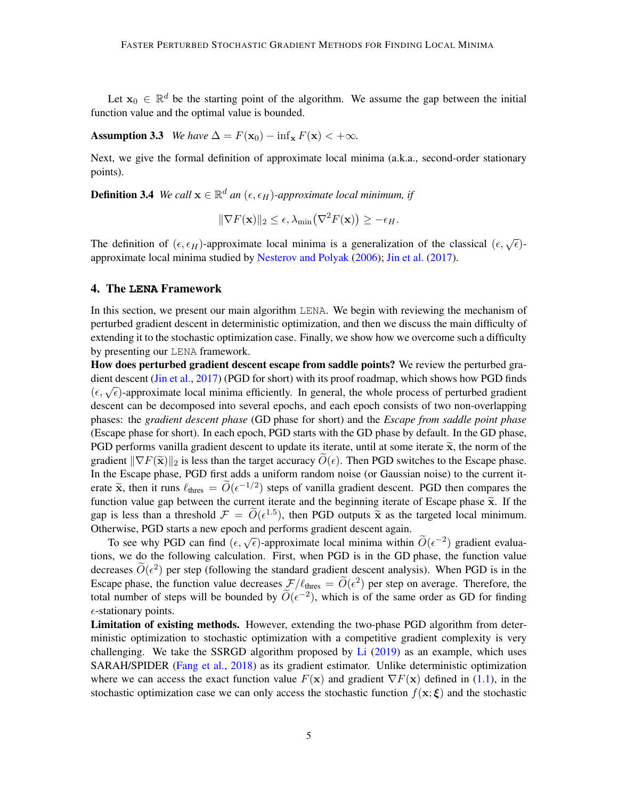Let  $x_0 \in \mathbb{R}^d$  be the starting point of the algorithm. We assume the gap between the initial function value and the optimal value is bounded.

Assumption 3.3 *We have*  $\Delta = F(\mathbf{x}_0) - \inf_{\mathbf{x}} F(\mathbf{x}) < +\infty$ *.* 

Next, we give the formal definition of approximate local minima (a.k.a., second-order stationary points).

**Definition 3.4** We call  $\mathbf{x} \in \mathbb{R}^d$  an  $(\epsilon, \epsilon_H)$ -approximate local minimum, if

<span id="page-4-0"></span>
$$
\|\nabla F(\mathbf{x})\|_2 \leq \epsilon, \lambda_{\min}(\nabla^2 F(\mathbf{x})) \geq -\epsilon_H.
$$

The definition of  $(\epsilon, \epsilon_H)$ -approximate local minima is a generalization of the classical  $(\epsilon, \sqrt{\epsilon})$ approximate local minima studied by [Nesterov and Polyak](#page-13-13) [\(2006\)](#page-13-13); [Jin et al.](#page-13-3) [\(2017\)](#page-13-3).

## 4. The **LENA** Framework

In this section, we present our main algorithm LENA. We begin with reviewing the mechanism of perturbed gradient descent in deterministic optimization, and then we discuss the main difficulty of extending it to the stochastic optimization case. Finally, we show how we overcome such a difficulty by presenting our LENA framework.

How does perturbed gradient descent escape from saddle points? We review the perturbed gradient descent [\(Jin et al.,](#page-13-3) [2017\)](#page-13-3) (PGD for short) with its proof roadmap, which shows how PGD finds  $(\epsilon, \sqrt{\epsilon})$ -approximate local minima efficiently. In general, the whole process of perturbed gradient descent can be decomposed into several epochs, and each epoch consists of two non-overlapping phases: the *gradient descent phase* (GD phase for short) and the *Escape from saddle point phase* (Escape phase for short). In each epoch, PGD starts with the GD phase by default. In the GD phase, PGD performs vanilla gradient descent to update its iterate, until at some iterate  $\tilde{\mathbf{x}}$ , the norm of the gradient  $\|\nabla F(\tilde{\mathbf{x}})\|_2$  is less than the target accuracy  $O(\epsilon)$ . Then PGD switches to the Escape phase. In the Escape phase, PGD first adds a uniform random noise (or Gaussian noise) to the current iterate  $\tilde{\mathbf{x}}$ , then it runs  $\ell_{\text{thres}} = \tilde{O}(\epsilon^{-1/2})$  steps of vanilla gradient descent. PGD then compares the function value can between the current iterate and the beginning iterate of Essano phase  $\tilde{\mathbf{x}}$ . If the function value gap between the current iterate and the beginning iterate of Escape phase  $\tilde{x}$ . If the gap is less than a threshold  $\mathcal{F} = \tilde{O}(\epsilon^{1.5})$ , then PGD outputs  $\tilde{\mathbf{x}}$  as the targeted local minimum.<br>Otherwise, PGD starts a new apoch and performs gradient descent again. Otherwise, PGD starts a new epoch and performs gradient descent again.

To see why PGD can find  $(\epsilon, \sqrt{\epsilon})$ -approximate local minima within  $\widetilde{O}(\epsilon^{-2})$  gradient evalua-<br>To see why PGD can find  $(\epsilon, \sqrt{\epsilon})$ -approximate local minima within  $\widetilde{O}(\epsilon^{-2})$  gradient evaluations, we do the following calculation. First, when PGD is in the GD phase, the function value decreases  $\widetilde{O}(\epsilon^2)$  per step (following the standard gradient descent analysis). When PGD is in the Escape phase, the function value decreases  $\mathcal{F}/\ell_{\text{thres}} = \widetilde{O}(\epsilon^2)$  per step on average. Therefore, the total number of steps will be bounded by  $\widetilde{O}(\epsilon^{-2})$ , which is of the same order as GD for finding  $\epsilon$ -stationary points.

Limitation of existing methods. However, extending the two-phase PGD algorithm from deterministic optimization to stochastic optimization with a competitive gradient complexity is very challenging. We take the SSRGD algorithm proposed by [Li](#page-13-7)  $(2019)$  as an example, which uses SARAH/SPIDER [\(Fang et al.,](#page-13-8) [2018\)](#page-13-8) as its gradient estimator. Unlike deterministic optimization where we can access the exact function value  $F(x)$  and gradient  $\nabla F(x)$  defined in [\(1.1\)](#page-0-1), in the stochastic optimization case we can only access the stochastic function  $f(\mathbf{x}; \boldsymbol{\xi})$  and the stochastic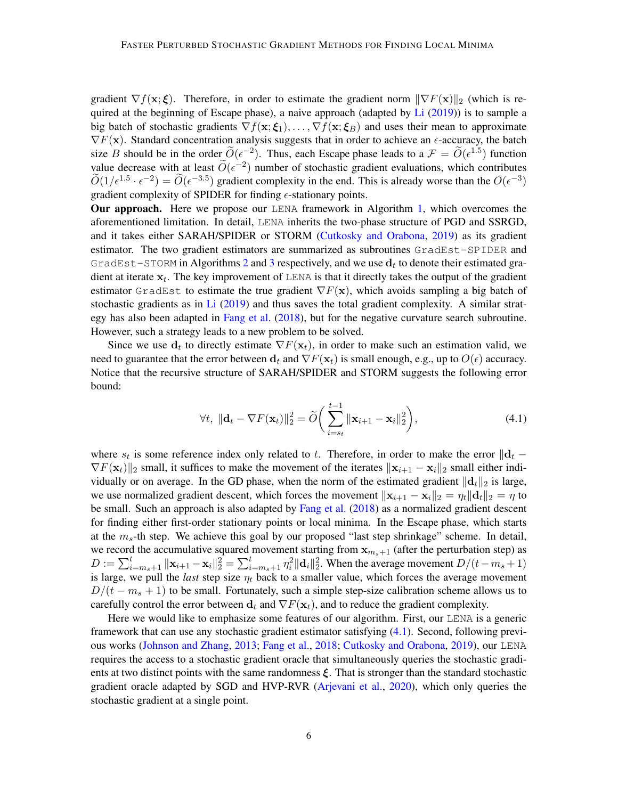gradient  $\nabla f(\mathbf{x}; \boldsymbol{\xi})$ . Therefore, in order to estimate the gradient norm  $\|\nabla F(\mathbf{x})\|_2$  (which is required at the beginning of Escape phase), a naive approach (adapted by  $Li(2019)$  $Li(2019)$ ) is to sample a big batch of stochastic gradients  $\nabla f(\mathbf{x}; \boldsymbol{\xi}_1), \dots, \nabla f(\mathbf{x}; \boldsymbol{\xi}_B)$  and uses their mean to approximate  $\nabla F(\mathbf{x})$ . Standard concentration analysis suggests that in order to achieve an  $\epsilon$ -accuracy, the batch size B should be in the order  $\widetilde{O}(\epsilon^{-2})$ . Thus, each Escape phase leads to a  $\mathcal{F} = \widetilde{O}(\epsilon^{1.5})$  function value decrease with at least  $\widetilde{O}(\epsilon^{-2})$  number of stochastic gradient evaluations, which contributes  $\widetilde{O}(1/\epsilon^{1.5} \cdot \epsilon^{-2}) = \widetilde{O}(\epsilon^{-3.5})$  gradient complexity in the end. This is already worse than the  $O(\epsilon^{-3})$ gradient complexity of SPIDER for finding  $\epsilon$ -stationary points.

Our approach. Here we propose our LENA framework in Algorithm [1,](#page-6-0) which overcomes the aforementioned limitation. In detail, LENA inherits the two-phase structure of PGD and SSRGD, and it takes either SARAH/SPIDER or STORM [\(Cutkosky and Orabona,](#page-12-3) [2019\)](#page-12-3) as its gradient estimator. The two gradient estimators are summarized as subroutines GradEst-SPIDER and GradEst-STORM in Algorithms [2](#page-6-1) and [3](#page-7-0) respectively, and we use  $\mathbf{d}_t$  to denote their estimated gradient at iterate  $x_t$ . The key improvement of LENA is that it directly takes the output of the gradient estimator GradEst to estimate the true gradient  $\nabla F(\mathbf{x})$ , which avoids sampling a big batch of stochastic gradients as in [Li](#page-13-7) [\(2019\)](#page-13-7) and thus saves the total gradient complexity. A similar strategy has also been adapted in [Fang et al.](#page-13-8) [\(2018\)](#page-13-8), but for the negative curvature search subroutine. However, such a strategy leads to a new problem to be solved.

Since we use  $\mathbf{d}_t$  to directly estimate  $\nabla F(\mathbf{x}_t)$ , in order to make such an estimation valid, we need to guarantee that the error between  $\mathbf{d}_t$  and  $\nabla F(\mathbf{x}_t)$  is small enough, e.g., up to  $O(\epsilon)$  accuracy. Notice that the recursive structure of SARAH/SPIDER and STORM suggests the following error bound:

<span id="page-5-0"></span>
$$
\forall t, \|\mathbf{d}_t - \nabla F(\mathbf{x}_t)\|_2^2 = \widetilde{O}\bigg(\sum_{i=s_t}^{t-1} \|\mathbf{x}_{i+1} - \mathbf{x}_i\|_2^2\bigg),\tag{4.1}
$$

where  $s_t$  is some reference index only related to t. Therefore, in order to make the error  $\|\mathbf{d}_t \nabla F(\mathbf{x}_t)$ ||<sub>2</sub> small, it suffices to make the movement of the iterates  $\|\mathbf{x}_{i+1} - \mathbf{x}_i\|_2$  small either individually or on average. In the GD phase, when the norm of the estimated gradient  $\|\mathbf{d}_t\|_2$  is large, we use normalized gradient descent, which forces the movement  $\|\mathbf{x}_{i+1} - \mathbf{x}_i\|_2 = \eta_t \|\mathbf{d}_t\|_2 = \eta$  to be small. Such an approach is also adapted by [Fang et al.](#page-13-8) [\(2018\)](#page-13-8) as a normalized gradient descent for finding either first-order stationary points or local minima. In the Escape phase, which starts at the  $m_s$ -th step. We achieve this goal by our proposed "last step shrinkage" scheme. In detail, we record the accumulative squared movement starting from  $x_{m+1}$  (after the perturbation step) as  $D := \sum_{i=m_s+1}^t ||\mathbf{x}_{i+1} - \mathbf{x}_i||_2^2 = \sum_{i=m_s+1}^t \eta_i^2 ||\mathbf{d}_i||_2^2$ . When the average movement  $D/(t-m_s+1)$ is large, we pull the *last* step size  $\eta_t$  back to a smaller value, which forces the average movement  $D/(t - m<sub>s</sub> + 1)$  to be small. Fortunately, such a simple step-size calibration scheme allows us to carefully control the error between  $\mathbf{d}_t$  and  $\nabla F(\mathbf{x}_t)$ , and to reduce the gradient complexity.

Here we would like to emphasize some features of our algorithm. First, our LENA is a generic framework that can use any stochastic gradient estimator satisfying [\(4.1\)](#page-5-0). Second, following previous works [\(Johnson and Zhang,](#page-13-9) [2013;](#page-13-9) [Fang et al.,](#page-13-8) [2018;](#page-13-8) [Cutkosky and Orabona,](#page-12-3) [2019\)](#page-12-3), our LENA requires the access to a stochastic gradient oracle that simultaneously queries the stochastic gradients at two distinct points with the same randomness  $\xi$ . That is stronger than the standard stochastic gradient oracle adapted by SGD and HVP-RVR [\(Arjevani et al.,](#page-12-8) [2020\)](#page-12-8), which only queries the stochastic gradient at a single point.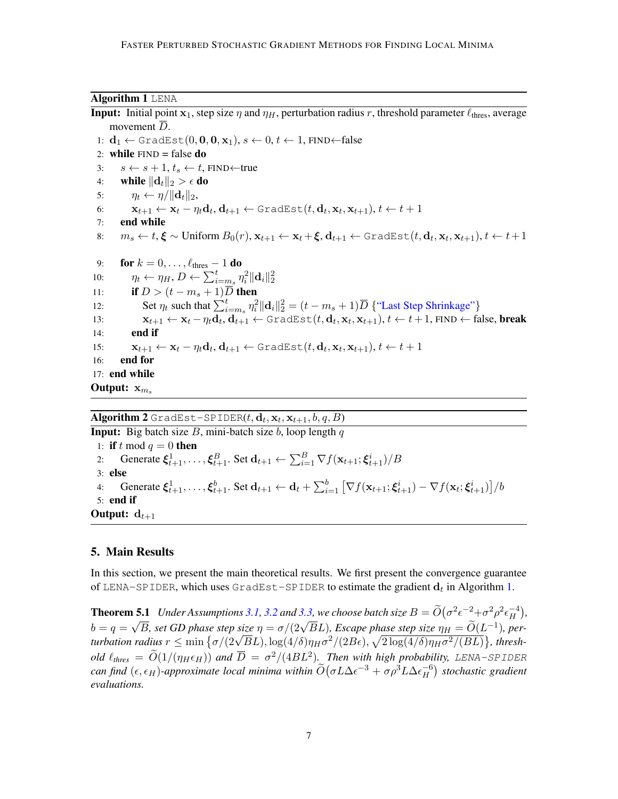#### Algorithm 1 LENA

<span id="page-6-0"></span>**Input:** Initial point  $x_1$ , step size  $\eta$  and  $\eta$ , perturbation radius r, threshold parameter  $\ell_{\text{thres}}$ , average movement  $\overline{D}$ . 1:  $\mathbf{d}_1 \leftarrow \text{GradEst}(0, \mathbf{0}, \mathbf{0}, \mathbf{x}_1), s \leftarrow 0, t \leftarrow 1, \text{FIND} \leftarrow \text{false}$ 2: while  $FIND = false$  do 3:  $s \leftarrow s + 1, t_s \leftarrow t$ , FIND←true 4: while  $\|\mathbf{d}_t\|_2 > \epsilon$  do 5:  $\eta_t \leftarrow \eta / ||\mathbf{d}_t||_2$ , 6:  $\mathbf{x}_{t+1} \leftarrow \mathbf{x}_t - \eta_t \mathbf{d}_t, \mathbf{d}_{t+1} \leftarrow \texttt{GradEst}(t, \mathbf{d}_t, \mathbf{x}_t, \mathbf{x}_{t+1}), t \leftarrow t+1$ 7: end while 8:  $m_s \leftarrow t$ ,  $\boldsymbol{\xi} \sim$  Uniform  $B_0(r)$ ,  $\mathbf{x}_{t+1} \leftarrow \mathbf{x}_t + \boldsymbol{\xi}, \mathbf{d}_{t+1} \leftarrow$  GradEst $(t, \mathbf{d}_t, \mathbf{x}_t, \mathbf{x}_{t+1}), t \leftarrow t+1$ 9: **for**  $k = 0, \ldots, \ell_{\text{thres}} - 1$  do 10:  $\eta_t \leftarrow \eta_H, D \leftarrow \sum_{i=m_s}^t \eta_i^2 ||\mathbf{d}_i||_2^2$ 11: if  $D > (t - m_s + 1)\overline{D}$  then 12: Set  $\eta_t$  such that  $\sum_{i=m_s}^t \eta_i^2 ||\mathbf{d}_i||_2^2 = (t - m_s + 1)\overline{D}$  {"Last Step Shrinkage"} 13:  $\mathbf{x}_{t+1} \leftarrow \mathbf{x}_t - \eta_t \mathbf{d}_t, \mathbf{d}_{t+1} \leftarrow \texttt{GradEst}(t, \mathbf{d}_t, \mathbf{x}_t, \mathbf{x}_{t+1}), t \leftarrow t+1, \texttt{FIND} \leftarrow \texttt{false}, \textbf{break}$  $14:$ 15:  $\mathbf{x}_{t+1} \leftarrow \mathbf{x}_t - \eta_t \mathbf{d}_t, \mathbf{d}_{t+1} \leftarrow \texttt{GradEst}(t, \mathbf{d}_t, \mathbf{x}_t, \mathbf{x}_{t+1}), t \leftarrow t+1$ 16: end for 17: end while Output:  $x_m$ .

# $\mathbf{Algorithm \ 2}$  GradEst-SPIDER $(t, \mathbf{d}_t, \mathbf{x}_t, \mathbf{x}_{t+1}, b, q, B)$

<span id="page-6-1"></span>**Input:** Big batch size  $B$ , mini-batch size  $b$ , loop length  $q$ 1: if t mod  $q = 0$  then 2: Generate  $\xi^1_{t+1},\ldots,\xi^B_{t+1}$ . Set  $\mathbf{d}_{t+1} \leftarrow \sum_{i=1}^B \nabla f(\mathbf{x}_{t+1};\xi^i_{t+1})/B$ 3: else 4: Generate  $\xi_{t+1}^1, \ldots, \xi_{t+1}^b$ . Set  $\mathbf{d}_{t+1} \leftarrow \mathbf{d}_t + \sum_{i=1}^b \left[ \nabla f(\mathbf{x}_{t+1}; \xi_{t+1}^i) - \nabla f(\mathbf{x}_t; \xi_{t+1}^i) \right] / b$ 5: end if Output:  $d_{t+1}$ 

## 5. Main Results

In this section, we present the main theoretical results. We first present the convergence guarantee of LENA–SPIDER, which uses <code>GradEst–SPIDER</code> to estimate the gradient  $\mathbf{d}_t$  in Algorithm [1.](#page-6-0)

<span id="page-6-2"></span>**Theorem 5.1** *Under Assumptions* [3.1,](#page-3-1) [3.2](#page-3-0) *and* [3.3,](#page-4-0) *we choose batch size*  $B = \widetilde{O}(\sigma^2 \epsilon^{-2} + \sigma^2 \rho^2 \epsilon_H^{-4})$ H *,*  $b = q =$  $\sqrt{B}$ , set GD phase step size  $\eta = \sigma/(2\sqrt{B}L)$ , Escape phase step size  $\eta_H = \tilde{O}(L^{-1})$ , per-<br>*i*,  $\sqrt{B}$ , set GD phase step size  $\eta = \sigma/(2\sqrt{B}L)$ , Escape phase step size  $\eta_H = \tilde{O}(L^{-1})$ , per- $\sigma = q = \sqrt{B}$ , set GD phase step size  $\eta = \sigma/(2\sqrt{B}L)$ , Escape phase step size  $\eta_H = O(L^{-2})$ , per-<br>turbation radius  $r \le \min{\lbrace \sigma/(2\sqrt{B}L), \log(4/\delta)\eta_H\sigma^2/(2B\epsilon), \sqrt{2\log(4/\delta)\eta_H\sigma^2/(BL)} \rbrace}$ , thresh*old*  $\ell_{thres} = \widetilde{O}(1/(\eta_H \epsilon_H))$  and  $\overline{D} = \sigma^2/(4BL^2)$ . Then with high probability, LENA-SPIDER can find  $(\epsilon, \epsilon_H)$ -approximate local minima within  $\widetilde{O}(\sigma L \Delta \epsilon^{-3} + \sigma \rho^3 L \Delta \epsilon_H^{-6})$ H *stochastic gradient evaluations.*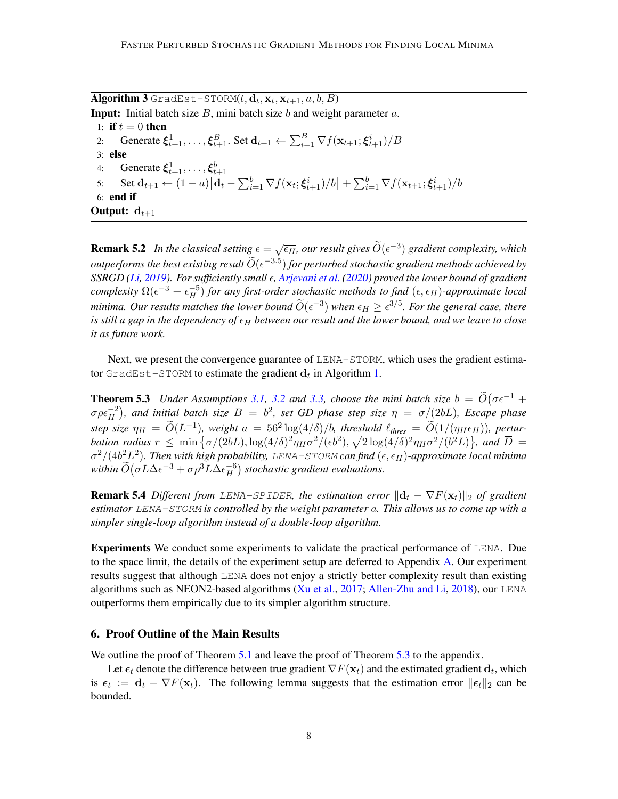<span id="page-7-0"></span> $\mathbf{Algorithm \: 3}$  GradEst-STORM $(t, \mathbf{d}_t, \mathbf{x}_t, \mathbf{x}_{t+1}, a, b, B)$ **Input:** Initial batch size  $B$ , mini batch size  $b$  and weight parameter  $a$ . 1: if  $t = 0$  then 2: Generate  $\xi^1_{t+1},\ldots,\xi^B_{t+1}$ . Set  $\mathbf{d}_{t+1} \leftarrow \sum_{i=1}^B \nabla f(\mathbf{x}_{t+1};\xi^i_{t+1})/B$ 3: else 4: Generate  $\xi_{t+1}^1, \ldots, \xi_{t+1}^b$ 5: Set  $\mathbf{d}_{t+1} \leftarrow (1-a) [\mathbf{d}_t - \sum_{i=1}^b \nabla f(\mathbf{x}_t; \boldsymbol{\xi}_{t+1}^i)/b] + \sum_{i=1}^b \nabla f(\mathbf{x}_{t+1}; \boldsymbol{\xi}_{t+1}^i)/b$ 6: end if Output:  $d_{t+1}$ 

**Remark 5.2** In the classical setting  $\epsilon = \sqrt{\epsilon_H}$ , our result gives  $\widetilde{O}(\epsilon^{-3})$  gradient complexity, which *outperforms the best existing result*  $\widetilde{O}(\epsilon^{-3.5})$  *for perturbed stochastic gradient methods achieved by SSRGD [\(Li,](#page-13-7) [2019\)](#page-13-7). For sufficiently small , [Arjevani et al.](#page-12-8) [\(2020\)](#page-12-8) proved the lower bound of gradient complexity*  $\Omega(\epsilon^{-3} + \epsilon^{-5}_H)$  *for any first-order stochastic methods to find*  $(\epsilon, \epsilon_H)$ *-approximate local minima. Our results matches the lower bound*  $\widetilde{O}(\epsilon^{-3})$  *when*  $\epsilon_H \geq \epsilon^{3/5}$ *. For the general case, there is still a gap in the dependency of*  $\epsilon_H$  *between our result and the lower bound, and we leave to close it as future work.*

Next, we present the convergence guarantee of LENA-STORM, which uses the gradient estimator <code>GradEst-STORM</code> to estimate the gradient  $\mathbf{d}_t$  in Algorithm [1.](#page-6-0)

<span id="page-7-1"></span>**Theorem 5.3** *Under Assumptions* [3.1,](#page-3-1) [3.2](#page-3-0) *and* [3.3,](#page-4-0) *choose the mini batch size*  $b = \widetilde{O}(\sigma \epsilon^{-1} + \frac{1}{c^2})$ σ $\rho \epsilon_H^{-2}$ ), and initial batch size  $B = b^2$ , set GD phase step size  $η = σ/(2bL)$ , Escape phase  $\mathcal{L}$  size  $\eta_H = \widetilde{O}(L^{-1})$ , weight  $a = 56^2 \log(4/\delta)/b$ , threshold  $\ell_{thres} = \widetilde{O}(1/(\eta_H \epsilon_H))$ , pertur*bation radius*  $r \leq \min\{\sigma/(2bL), \log(4/\delta)^2\eta_H\sigma^2/(\epsilon b^2), \sqrt{2\log(4/\delta)^2\eta_H\sigma^2/ (b^2L)}\}$ , and  $\overline{D} =$  $\sigma^2/(4b^2L^2)$ . Then with high probability, LENA-STORM can find  $(\epsilon, \epsilon_H)$ -approximate local minima within  $\widetilde{O}(\sigma L \Delta \epsilon^{-3} + \sigma \rho^3 L \Delta \epsilon_H^{-6})$  $\binom{-6}{H}$  stochastic gradient evaluations.

**Remark 5.4** *Different from LENA-SPIDER, the estimation error*  $\|\mathbf{d}_t - \nabla F(\mathbf{x}_t)\|_2$  *of gradient estimator* LENA-STORM *is controlled by the weight parameter* a*. This allows us to come up with a simpler single-loop algorithm instead of a double-loop algorithm.*

Experiments We conduct some experiments to validate the practical performance of LENA. Due to the space limit, the details of the experiment setup are deferred to Appendix [A.](#page-14-8) Our experiment results suggest that although LENA does not enjoy a strictly better complexity result than existing algorithms such as NEON2-based algorithms [\(Xu et al.,](#page-14-7) [2017;](#page-14-7) [Allen-Zhu and Li,](#page-12-6) [2018\)](#page-12-6), our LENA outperforms them empirically due to its simpler algorithm structure.

#### 6. Proof Outline of the Main Results

We outline the proof of Theorem [5.1](#page-6-2) and leave the proof of Theorem [5.3](#page-7-1) to the appendix.

<span id="page-7-2"></span>Let  $\epsilon_t$  denote the difference between true gradient  $\nabla F(\mathbf{x}_t)$  and the estimated gradient  $\mathbf{d}_t$ , which is  $\epsilon_t := \mathbf{d}_t - \nabla F(\mathbf{x}_t)$ . The following lemma suggests that the estimation error  $\|\epsilon_t\|_2$  can be bounded.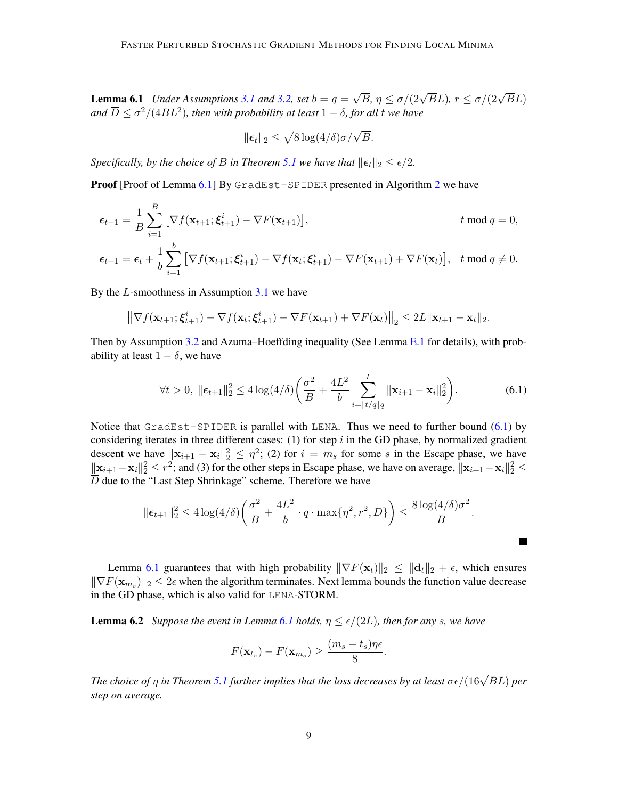**Lemma 6.1** *Under Assumptions* [3.1](#page-3-1) *and* [3.2,](#page-3-0) *set*  $b = q =$  $\sqrt{B}$ ,  $\eta \leq \sigma/(2\sqrt{B}L)$ ,  $r \leq \sigma/(2\sqrt{B}L)$ and  $\overline{D}\leq \sigma^2/(4BL^2)$ , then with probability at least  $1-\delta$ , for all  $t$  we have

$$
\|\boldsymbol{\epsilon}_t\|_2 \leq \sqrt{8\log(4/\delta)}\sigma/\sqrt{B}.
$$

*Specifically, by the choice of B in Theorem [5.1](#page-6-2) we have that*  $||\boldsymbol{\epsilon}_t||_2 \leq \epsilon/2$ *.* 

**Proof** [Proof of Lemma [6.1\]](#page-7-2) By GradEst-SPIDER presented in Algorithm [2](#page-6-1) we have

$$
\epsilon_{t+1} = \frac{1}{B} \sum_{i=1}^{B} \left[ \nabla f(\mathbf{x}_{t+1}; \boldsymbol{\xi}_{t+1}^i) - \nabla F(\mathbf{x}_{t+1}) \right], \qquad t \mod q = 0,
$$
  

$$
\epsilon_{t+1} = \epsilon_t + \frac{1}{b} \sum_{i=1}^{b} \left[ \nabla f(\mathbf{x}_{t+1}; \boldsymbol{\xi}_{t+1}^i) - \nabla f(\mathbf{x}_t; \boldsymbol{\xi}_{t+1}^i) - \nabla F(\mathbf{x}_{t+1}) + \nabla F(\mathbf{x}_t) \right], \quad t \mod q \neq 0.
$$

By the  $L$ -smoothness in Assumption [3.1](#page-3-1) we have

$$
\left\|\nabla f(\mathbf{x}_{t+1}; \boldsymbol{\xi}_{t+1}^i) - \nabla f(\mathbf{x}_t; \boldsymbol{\xi}_{t+1}^i) - \nabla F(\mathbf{x}_{t+1}) + \nabla F(\mathbf{x}_t)\right\|_2 \leq 2L \|\mathbf{x}_{t+1} - \mathbf{x}_t\|_2.
$$

Then by Assumption [3.2](#page-3-0) and Azuma–Hoeffding inequality (See Lemma [E.1](#page-27-0) for details), with probability at least  $1 - \delta$ , we have

$$
\forall t > 0, \ \|\boldsymbol{\epsilon}_{t+1}\|_{2}^{2} \leq 4\log(4/\delta) \bigg(\frac{\sigma^{2}}{B} + \frac{4L^{2}}{b} \sum_{i=\lfloor t/q \rfloor q}^{t} \|\mathbf{x}_{i+1} - \mathbf{x}_{i}\|_{2}^{2}\bigg). \tag{6.1}
$$

Notice that  $GradEst-SPIDER$  is parallel with LENA. Thus we need to further bound  $(6.1)$  by considering iterates in three different cases: (1) for step  $i$  in the GD phase, by normalized gradient descent we have  $\|\mathbf{x}_{i+1} - \mathbf{x}_i\|_2^2 \leq \eta^2$ ; (2) for  $i = m_s$  for some s in the Escape phase, we have  $\|\mathbf{x}_{i+1}-\mathbf{x}_i\|_2^2 \le r^2$ ; and (3) for the other steps in Escape phase, we have on average,  $\|\mathbf{x}_{i+1}-\mathbf{x}_i\|_2^2 \le$ D due to the "Last Step Shrinkage" scheme. Therefore we have

$$
\|\epsilon_{t+1}\|_2^2 \le 4\log(4/\delta)\left(\frac{\sigma^2}{B} + \frac{4L^2}{b} \cdot q \cdot \max\{\eta^2, r^2, \overline{D}\}\right) \le \frac{8\log(4/\delta)\sigma^2}{B}.
$$

Lemma [6.1](#page-7-2) guarantees that with high probability  $\|\nabla F(\mathbf{x}_t)\|_2 \leq \|\mathbf{d}_t\|_2 + \epsilon$ , which ensures  $\|\nabla F(\mathbf{x}_{m_s})\|_2 \leq 2\epsilon$  when the algorithm terminates. Next lemma bounds the function value decrease in the GD phase, which is also valid for LENA-STORM.

<span id="page-8-1"></span>**Lemma 6.2** *Suppose the event in Lemma [6.1](#page-7-2) holds,*  $\eta \leq \epsilon/(2L)$ *, then for any s, we have* 

$$
F(\mathbf{x}_{t_s}) - F(\mathbf{x}_{m_s}) \ge \frac{(m_s - t_s)\eta\epsilon}{8}
$$

.

<span id="page-8-0"></span>П

The choice of  $\eta$  in Theorem [5.1](#page-6-2) further implies that the loss decreases by at least  $\sigma\epsilon/(16\sqrt{B}L)$  per *step on average.*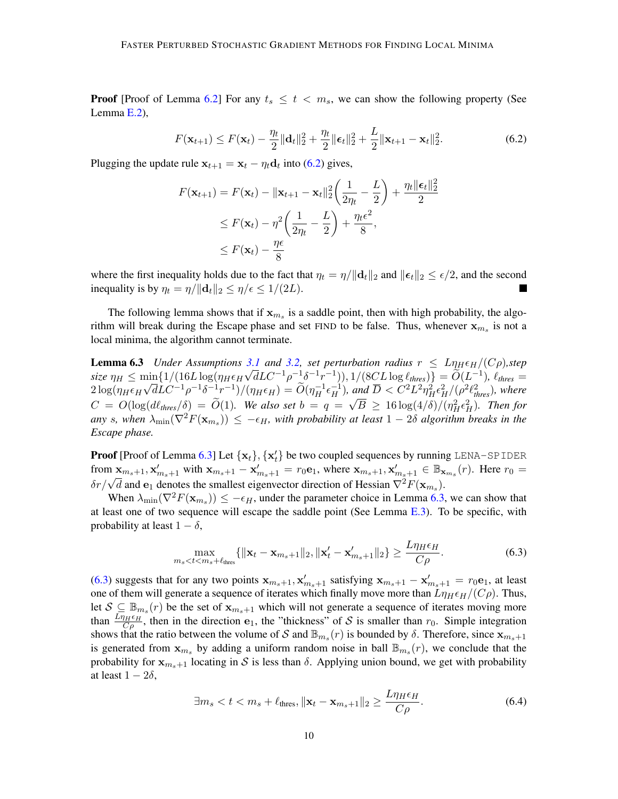**Proof** [Proof of Lemma [6.2\]](#page-8-1) For any  $t_s \leq t \leq m_s$ , we can show the following property (See Lemma [E.2\)](#page-27-1),

<span id="page-9-0"></span>
$$
F(\mathbf{x}_{t+1}) \le F(\mathbf{x}_t) - \frac{\eta_t}{2} ||\mathbf{d}_t||_2^2 + \frac{\eta_t}{2} ||\boldsymbol{\epsilon}_t||_2^2 + \frac{L}{2} ||\mathbf{x}_{t+1} - \mathbf{x}_t||_2^2.
$$
 (6.2)

Plugging the update rule  $\mathbf{x}_{t+1} = \mathbf{x}_t - \eta_t \mathbf{d}_t$  into [\(6.2\)](#page-9-0) gives,

$$
F(\mathbf{x}_{t+1}) = F(\mathbf{x}_t) - \|\mathbf{x}_{t+1} - \mathbf{x}_t\|_2^2 \left(\frac{1}{2\eta_t} - \frac{L}{2}\right) + \frac{\eta_t \|\boldsymbol{\epsilon}_t\|_2^2}{2}
$$
  
\n
$$
\leq F(\mathbf{x}_t) - \eta^2 \left(\frac{1}{2\eta_t} - \frac{L}{2}\right) + \frac{\eta_t \epsilon^2}{8},
$$
  
\n
$$
\leq F(\mathbf{x}_t) - \frac{\eta \epsilon}{8}
$$

where the first inequality holds due to the fact that  $\eta_t = \eta/||\mathbf{d}_t||_2$  and  $||\boldsymbol{\epsilon}_t||_2 \leq \epsilon/2$ , and the second inequality is by  $\eta_t = \eta / ||\mathbf{d}_t||_2 \leq \eta / \epsilon \leq 1/(2L)$ .

The following lemma shows that if  $x_{m_s}$  is a saddle point, then with high probability, the algorithm will break during the Escape phase and set  $FIND$  to be false. Thus, whenever  $x_{m_s}$  is not a local minima, the algorithm cannot terminate.

<span id="page-9-1"></span>**Lemma 6.3** *Under Assumptions* [3.1](#page-3-1) *and* [3.2,](#page-3-0) *set perturbation radius*  $r \leq L \eta_H \epsilon_H / (C \rho)$ *, step*  $size \eta_H \le \min\{1/(16L\log(\eta_H\epsilon_H\sqrt{d}LC^{-1}\rho^{-1}\delta^{-1}r^{-1})), 1/(8CL\log\ell_{thres})\} = \widetilde{O}(L^{-1}), \ell_{thres} =$  $2\log(\eta_H \epsilon_H \sqrt{d}LC^{-1}\rho^{-1}\delta^{-1}r^{-1})/(\eta_H \epsilon_H) = \widetilde{O}(\eta_H^{-1}\epsilon_H^{-1}),$  and  $\overline{D} < C^2L^2\eta_H^2\epsilon_H^2/(\rho^2\ell_{thres}^2)$ , where  $C = O(\log(d\ell_{thres}/\delta)) = \widetilde{O}(1)$ *. We also set*  $b = q = \sqrt{B} \ge 16 \log(4/\delta)/(\eta_H^2 \epsilon_H^2)$ *. Then for*  $\Delta m y$  s, when  $\lambda_{\min}(\nabla^2 F(\mathbf{x}_{m_s})) \leq -\epsilon_H$ , with probability at least  $1-2\delta$  algorithm breaks in the *Escape phase.*

**Proof** [Proof of Lemma [6.3\]](#page-9-1) Let  $\{x_t\}$ ,  $\{x_t'\}$  be two coupled sequences by running LENA-SPIDER from  $x_{m_s+1}, x'_{m_s+1}$  with  $x_{m_s+1} - x'_{m_s+1} = r_0 e_1$ , where  $x_{m_s+1}, x'_{m_s+1} \in \mathbb{B}_{x_{m_s}}(r)$ . Here  $r_0 =$ From  $\mathbf{x}_{m_s+1}$ ,  $\mathbf{x}_{m_s+1}$  with  $\mathbf{x}_{m_s+1} - \mathbf{x}_{m_s+1} - \mathbf{y}_{0}$ , where  $\mathbf{x}_{m_s+1}$ ,  $\mathbf{x}_{m_s+1} \in \mathbb{P}_{\mathbf{x}_{m_s}}$ .<br>  $\delta r / \sqrt{d}$  and  $\mathbf{e}_1$  denotes the smallest eigenvector direction of Hessian  $\nabla^2 F(\mathbf{x}_{m_s})$ .

When  $\lambda_{\min}(\nabla^2 F(\mathbf{x}_{m_s})) \leq -\epsilon_H$ , under the parameter choice in Lemma [6.3,](#page-9-1) we can show that at least one of two sequence will escape the saddle point (See Lemma [E.3\)](#page-28-1). To be specific, with probability at least  $1 - \delta$ ,

<span id="page-9-2"></span>
$$
\max_{m_s < t < m_s + \ell_{\text{thres}}} \{ \|\mathbf{x}_t - \mathbf{x}_{m_s + 1}\|_2, \|\mathbf{x}'_t - \mathbf{x}'_{m_s + 1}\|_2 \} \ge \frac{L\eta_H \epsilon_H}{C\rho}.\tag{6.3}
$$

[\(6.3\)](#page-9-2) suggests that for any two points  $x_{m_s+1}, x'_{m_s+1}$  satisfying  $x_{m_s+1} - x'_{m_s+1} = r_0 e_1$ , at least one of them will generate a sequence of iterates which finally move more than  $L\eta_H\epsilon_H/(C\rho)$ . Thus, let  $S \subseteq \mathbb{B}_{m_s}(r)$  be the set of  $\mathbf{x}_{m_s+1}$  which will not generate a sequence of iterates moving more than  $\frac{L\eta_H\epsilon_H}{C\rho}$ , then in the direction  $\mathbf{e}_1$ , the "thickness" of S is smaller than  $r_0$ . Simple integration shows that the ratio between the volume of S and  $\mathbb{B}_{m_s}(r)$  is bounded by  $\delta$ . Therefore, since  $\mathbf{x}_{m_s+1}$ is generated from  $x_{m_s}$  by adding a uniform random noise in ball  $\mathbb{B}_{m_s}(r)$ , we conclude that the probability for  $x_{m_s+1}$  locating in S is less than  $\delta$ . Applying union bound, we get with probability at least  $1 - 2\delta$ ,

<span id="page-9-3"></span>
$$
\exists m_s < t < m_s + \ell_{\text{thres}}, \|\mathbf{x}_t - \mathbf{x}_{m_s+1}\|_2 \ge \frac{L\eta_H \epsilon_H}{C\rho}.\tag{6.4}
$$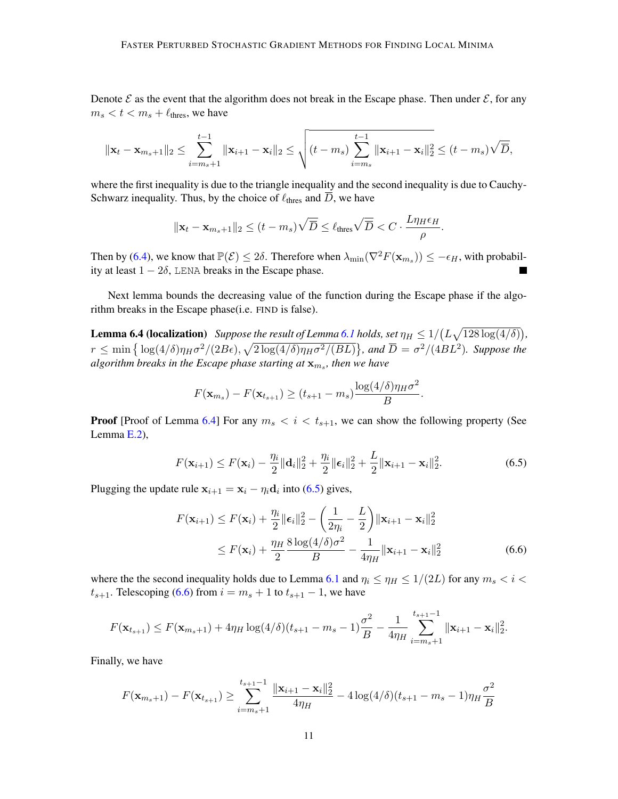Denote  $\mathcal E$  as the event that the algorithm does not break in the Escape phase. Then under  $\mathcal E$ , for any  $m_s < t < m_s + \ell_{\text{thres}}$ , we have

$$
\|\mathbf{x}_{t} - \mathbf{x}_{m_{s}+1}\|_{2} \leq \sum_{i=m_{s}+1}^{t-1} \|\mathbf{x}_{i+1} - \mathbf{x}_{i}\|_{2} \leq \sqrt{(t-m_{s}) \sum_{i=m_{s}}^{t-1} \|\mathbf{x}_{i+1} - \mathbf{x}_{i}\|_{2}^{2}} \leq (t-m_{s})\sqrt{\overline{D}},
$$

where the first inequality is due to the triangle inequality and the second inequality is due to Cauchy-Schwarz inequality. Thus, by the choice of  $\ell_{\text{thres}}$  and D, we have

$$
\|\mathbf{x}_t - \mathbf{x}_{m_s+1}\|_2 \le (t - m_s) \sqrt{\overline{D}} \le \ell_{\text{thres}} \sqrt{\overline{D}} < C \cdot \frac{L\eta_H \epsilon_H}{\rho}.
$$

Then by [\(6.4\)](#page-9-3), we know that  $\mathbb{P}(\mathcal{E}) \leq 2\delta$ . Therefore when  $\lambda_{\min}(\nabla^2 F(\mathbf{x}_{m_s})) \leq -\epsilon_H$ , with probability at least  $1 - 2\delta$ , LENA breaks in the Escape phase.

Next lemma bounds the decreasing value of the function during the Escape phase if the algorithm breaks in the Escape phase(i.e. FIND is false).

<span id="page-10-0"></span>**Lemma 6.4 (localization)** Suppose the result of Lemma [6.1](#page-7-2) holds, set  $\eta_H \leq 1/(L\sqrt{128\log(4/\delta)})$ ,  $r \le \min\left\{\log(4/\delta)\eta_H\sigma^2/(2B\epsilon), \sqrt{2\log(4/\delta)\eta_H\sigma^2/(BL)}\right\}$ , and  $\overline{D} = \sigma^2/(4BL^2)$ . Suppose the algorithm breaks in the Escape phase starting at  $\mathbf{x}_{m_s}$ , then we have

<span id="page-10-1"></span>
$$
F(\mathbf{x}_{m_s}) - F(\mathbf{x}_{t_{s+1}}) \ge (t_{s+1} - m_s) \frac{\log(4/\delta)\eta_H \sigma^2}{B}.
$$

**Proof** [Proof of Lemma [6.4\]](#page-10-0) For any  $m_s < i < t_{s+1}$ , we can show the following property (See Lemma [E.2\)](#page-27-1),

$$
F(\mathbf{x}_{i+1}) \le F(\mathbf{x}_i) - \frac{\eta_i}{2} ||\mathbf{d}_i||_2^2 + \frac{\eta_i}{2} ||\boldsymbol{\epsilon}_i||_2^2 + \frac{L}{2} ||\mathbf{x}_{i+1} - \mathbf{x}_i||_2^2.
$$
 (6.5)

Plugging the update rule  $x_{i+1} = x_i - \eta_i \mathbf{d}_i$  into [\(6.5\)](#page-10-1) gives,

<span id="page-10-2"></span>
$$
F(\mathbf{x}_{i+1}) \le F(\mathbf{x}_i) + \frac{\eta_i}{2} \|\boldsymbol{\epsilon}_i\|_2^2 - \left(\frac{1}{2\eta_i} - \frac{L}{2}\right) \|\mathbf{x}_{i+1} - \mathbf{x}_i\|_2^2
$$
  
 
$$
\le F(\mathbf{x}_i) + \frac{\eta_H}{2} \frac{8 \log(4/\delta) \sigma^2}{B} - \frac{1}{4\eta_H} \|\mathbf{x}_{i+1} - \mathbf{x}_i\|_2^2
$$
(6.6)

where the the second inequality holds due to Lemma [6.1](#page-7-2) and  $\eta_i \leq \eta_H \leq 1/(2L)$  for any  $m_s < i <$  $t_{s+1}$ . Telescoping [\(6.6\)](#page-10-2) from  $i = m_s + 1$  to  $t_{s+1} - 1$ , we have

$$
F(\mathbf{x}_{t_{s+1}}) \leq F(\mathbf{x}_{m_s+1}) + 4\eta_H \log(4/\delta)(t_{s+1} - m_s - 1)\frac{\sigma^2}{B} - \frac{1}{4\eta_H} \sum_{i=m_s+1}^{t_{s+1}-1} \|\mathbf{x}_{i+1} - \mathbf{x}_i\|_2^2.
$$

Finally, we have

$$
F(\mathbf{x}_{m_s+1}) - F(\mathbf{x}_{t_{s+1}}) \ge \sum_{i=m_s+1}^{t_{s+1}-1} \frac{\|\mathbf{x}_{i+1} - \mathbf{x}_i\|_2^2}{4\eta_H} - 4\log(4/\delta)(t_{s+1} - m_s - 1)\eta_H \frac{\sigma^2}{B}
$$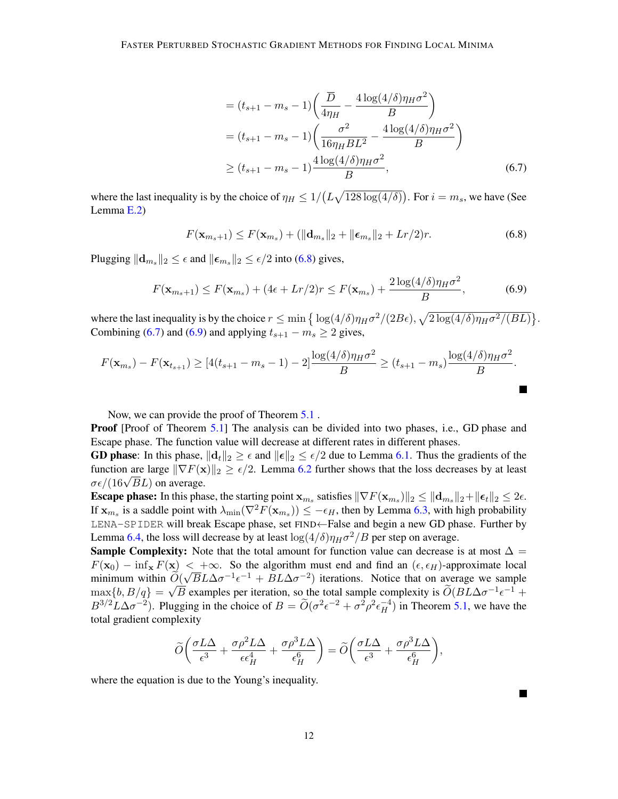<span id="page-11-1"></span><span id="page-11-0"></span>
$$
= (t_{s+1} - m_s - 1) \left( \frac{\overline{D}}{4\eta_H} - \frac{4 \log(4/\delta)\eta_H \sigma^2}{B} \right)
$$
  
=  $(t_{s+1} - m_s - 1) \left( \frac{\sigma^2}{16\eta_H BL^2} - \frac{4 \log(4/\delta)\eta_H \sigma^2}{B} \right)$   
 $\ge (t_{s+1} - m_s - 1) \frac{4 \log(4/\delta)\eta_H \sigma^2}{B},$  (6.7)

where the last inequality is by the choice of  $\eta_H \leq 1/(L\sqrt{128 \log(4/\delta)})$ . For  $i = m_s$ , we have (See Lemma [E.2\)](#page-27-1)

<span id="page-11-2"></span>
$$
F(\mathbf{x}_{m_s+1}) \le F(\mathbf{x}_{m_s}) + (\|\mathbf{d}_{m_s}\|_2 + \|\boldsymbol{\epsilon}_{m_s}\|_2 + Lr/2)r. \tag{6.8}
$$

Plugging  $\|\mathbf{d}_{m_s}\|_2 \leq \epsilon$  and  $\|\boldsymbol{\epsilon}_{m_s}\|_2 \leq \epsilon/2$  into [\(6.8\)](#page-11-0) gives,

$$
F(\mathbf{x}_{m_s+1}) \le F(\mathbf{x}_{m_s}) + (4\epsilon + Lr/2)r \le F(\mathbf{x}_{m_s}) + \frac{2\log(4/\delta)\eta_H\sigma^2}{B},\tag{6.9}
$$

where the last inequality is by the choice  $r \le \min\left\{\log(4/\delta)\eta_H\sigma^2/(2B\epsilon), \sqrt{2\log(4/\delta)\eta_H\sigma^2/(BL)}\right\}$ . Combining [\(6.7\)](#page-11-1) and [\(6.9\)](#page-11-2) and applying  $t_{s+1} - m_s \geq 2$  gives,

$$
F(\mathbf{x}_{m_s}) - F(\mathbf{x}_{t_{s+1}}) \ge [4(t_{s+1} - m_s - 1) - 2] \frac{\log(4/\delta)\eta_H \sigma^2}{B} \ge (t_{s+1} - m_s) \frac{\log(4/\delta)\eta_H \sigma^2}{B}.
$$

Now, we can provide the proof of Theorem [5.1](#page-6-2) .

**Proof** [Proof of Theorem [5.1\]](#page-6-2) The analysis can be divided into two phases, i.e., GD phase and Escape phase. The function value will decrease at different rates in different phases.

**GD phase:** In this phase,  $||\mathbf{d}_t||_2 \ge \epsilon$  and  $||\boldsymbol{\epsilon}||_2 \le \epsilon/2$  due to Lemma [6.1.](#page-7-2) Thus the gradients of the function are large  $\|\nabla F(\mathbf{x})\|_2 \ge \epsilon/2$ . Lemma [6.2](#page-8-1) further shows that the loss decreases by at least Tunction are targe  $\parallel$  ∨ *F* (**x**  $\sigma \epsilon / (16 \sqrt{B} L)$  on average.

**Escape phase:** In this phase, the starting point  $\mathbf{x}_{m_s}$  satisfies  $\|\nabla F(\mathbf{x}_{m_s})\|_2 \leq \|\mathbf{d}_{m_s}\|_2 + \|\boldsymbol{\epsilon}_t\|_2 \leq 2\epsilon$ . If  $\mathbf{x}_{m_s}$  is a saddle point with  $\lambda_{\min}(\nabla^2 F(\mathbf{x}_{m_s})) \le -\epsilon_H$ , then by Lemma [6.3,](#page-9-1) with high probability LENA-SPIDER will break Escape phase, set FIND←False and begin a new GD phase. Further by Lemma [6.4,](#page-10-0) the loss will decrease by at least  $\log(4/\delta)\eta_H\sigma^2/B$  per step on average.

**Sample Complexity:** Note that the total amount for function value can decrease is at most  $\Delta$  =  $F(\mathbf{x}_0) - \inf_{\mathbf{x}} F(\mathbf{x}) < +\infty$ . So the algorithm must end and find an  $(\epsilon, \epsilon_H)$ -approximate local minimum within  $\widetilde{O}(\sqrt{B}L\Delta\sigma^{-1}\epsilon^{-1} + BL\Delta\sigma^{-2})$  iterations. Notice that on average we sample  $\max\{b, B/q\} = \sqrt{B}$  examples per iteration, so the total sample complexity is  $\widetilde{O}(BL\Delta\sigma^{-1}\epsilon^{-1} +$  $B^{3/2}L\Delta\sigma^{-2}$ ). Plugging in the choice of  $B = \widetilde{O}(\sigma^2\epsilon^{-2} + \sigma^2\rho^2\epsilon_H^{-4})$  in Theorem [5.1,](#page-6-2) we have the total gradient complexity

$$
\widetilde{O}\bigg(\frac{\sigma L\Delta}{\epsilon^3} + \frac{\sigma \rho^2 L\Delta}{\epsilon \epsilon_H^4} + \frac{\sigma \rho^3 L\Delta}{\epsilon_H^6}\bigg) = \widetilde{O}\bigg(\frac{\sigma L\Delta}{\epsilon^3} + \frac{\sigma \rho^3 L\Delta}{\epsilon_H^6}\bigg),
$$

where the equation is due to the Young's inequality.

12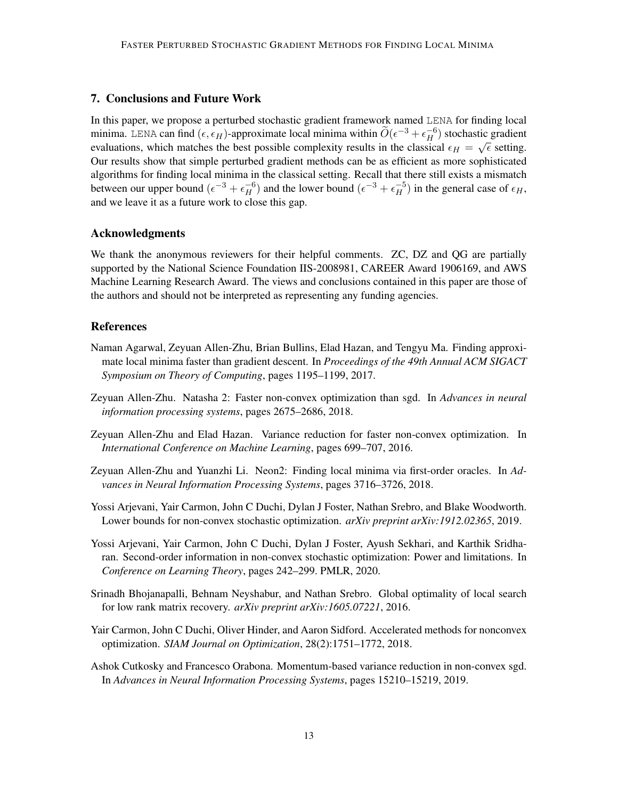## 7. Conclusions and Future Work

In this paper, we propose a perturbed stochastic gradient framework named LENA for finding local minima. LENA can find  $(\epsilon, \epsilon_H)$ -approximate local minima within  $\widetilde{O}(\epsilon^{-3} + \epsilon_H^{-6})$  stochastic gradient evaluations, which matches the best possible complexity results in the classical  $\epsilon_H = \sqrt{\epsilon}$  setting. Our results show that simple perturbed gradient methods can be as efficient as more sophisticated algorithms for finding local minima in the classical setting. Recall that there still exists a mismatch between our upper bound  $(\epsilon^{-3} + \epsilon_H^{-6})$  and the lower bound  $(\epsilon^{-3} + \epsilon_H^{-5})$  in the general case of  $\epsilon_H$ , and we leave it as a future work to close this gap.

#### Acknowledgments

We thank the anonymous reviewers for their helpful comments. ZC, DZ and QG are partially supported by the National Science Foundation IIS-2008981, CAREER Award 1906169, and AWS Machine Learning Research Award. The views and conclusions contained in this paper are those of the authors and should not be interpreted as representing any funding agencies.

## References

- <span id="page-12-2"></span>Naman Agarwal, Zeyuan Allen-Zhu, Brian Bullins, Elad Hazan, and Tengyu Ma. Finding approximate local minima faster than gradient descent. In *Proceedings of the 49th Annual ACM SIGACT Symposium on Theory of Computing*, pages 1195–1199, 2017.
- <span id="page-12-5"></span>Zeyuan Allen-Zhu. Natasha 2: Faster non-convex optimization than sgd. In *Advances in neural information processing systems*, pages 2675–2686, 2018.
- <span id="page-12-7"></span>Zeyuan Allen-Zhu and Elad Hazan. Variance reduction for faster non-convex optimization. In *International Conference on Machine Learning*, pages 699–707, 2016.
- <span id="page-12-6"></span>Zeyuan Allen-Zhu and Yuanzhi Li. Neon2: Finding local minima via first-order oracles. In *Advances in Neural Information Processing Systems*, pages 3716–3726, 2018.
- <span id="page-12-4"></span>Yossi Arjevani, Yair Carmon, John C Duchi, Dylan J Foster, Nathan Srebro, and Blake Woodworth. Lower bounds for non-convex stochastic optimization. *arXiv preprint arXiv:1912.02365*, 2019.
- <span id="page-12-8"></span>Yossi Arjevani, Yair Carmon, John C Duchi, Dylan J Foster, Ayush Sekhari, and Karthik Sridharan. Second-order information in non-convex stochastic optimization: Power and limitations. In *Conference on Learning Theory*, pages 242–299. PMLR, 2020.
- <span id="page-12-0"></span>Srinadh Bhojanapalli, Behnam Neyshabur, and Nathan Srebro. Global optimality of local search for low rank matrix recovery. *arXiv preprint arXiv:1605.07221*, 2016.
- <span id="page-12-1"></span>Yair Carmon, John C Duchi, Oliver Hinder, and Aaron Sidford. Accelerated methods for nonconvex optimization. *SIAM Journal on Optimization*, 28(2):1751–1772, 2018.
- <span id="page-12-3"></span>Ashok Cutkosky and Francesco Orabona. Momentum-based variance reduction in non-convex sgd. In *Advances in Neural Information Processing Systems*, pages 15210–15219, 2019.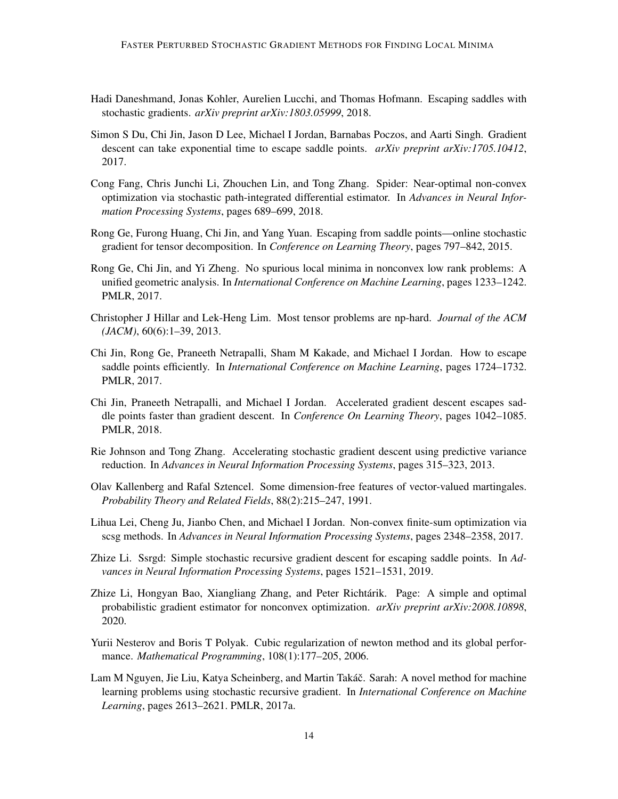- <span id="page-13-6"></span>Hadi Daneshmand, Jonas Kohler, Aurelien Lucchi, and Thomas Hofmann. Escaping saddles with stochastic gradients. *arXiv preprint arXiv:1803.05999*, 2018.
- <span id="page-13-2"></span>Simon S Du, Chi Jin, Jason D Lee, Michael I Jordan, Barnabas Poczos, and Aarti Singh. Gradient descent can take exponential time to escape saddle points. *arXiv preprint arXiv:1705.10412*, 2017.
- <span id="page-13-8"></span>Cong Fang, Chris Junchi Li, Zhouchen Lin, and Tong Zhang. Spider: Near-optimal non-convex optimization via stochastic path-integrated differential estimator. In *Advances in Neural Information Processing Systems*, pages 689–699, 2018.
- <span id="page-13-5"></span>Rong Ge, Furong Huang, Chi Jin, and Yang Yuan. Escaping from saddle points—online stochastic gradient for tensor decomposition. In *Conference on Learning Theory*, pages 797–842, 2015.
- <span id="page-13-1"></span>Rong Ge, Chi Jin, and Yi Zheng. No spurious local minima in nonconvex low rank problems: A unified geometric analysis. In *International Conference on Machine Learning*, pages 1233–1242. PMLR, 2017.
- <span id="page-13-0"></span>Christopher J Hillar and Lek-Heng Lim. Most tensor problems are np-hard. *Journal of the ACM (JACM)*, 60(6):1–39, 2013.
- <span id="page-13-3"></span>Chi Jin, Rong Ge, Praneeth Netrapalli, Sham M Kakade, and Michael I Jordan. How to escape saddle points efficiently. In *International Conference on Machine Learning*, pages 1724–1732. PMLR, 2017.
- <span id="page-13-4"></span>Chi Jin, Praneeth Netrapalli, and Michael I Jordan. Accelerated gradient descent escapes saddle points faster than gradient descent. In *Conference On Learning Theory*, pages 1042–1085. PMLR, 2018.
- <span id="page-13-9"></span>Rie Johnson and Tong Zhang. Accelerating stochastic gradient descent using predictive variance reduction. In *Advances in Neural Information Processing Systems*, pages 315–323, 2013.
- <span id="page-13-14"></span>Olav Kallenberg and Rafal Sztencel. Some dimension-free features of vector-valued martingales. *Probability Theory and Related Fields*, 88(2):215–247, 1991.
- <span id="page-13-10"></span>Lihua Lei, Cheng Ju, Jianbo Chen, and Michael I Jordan. Non-convex finite-sum optimization via scsg methods. In *Advances in Neural Information Processing Systems*, pages 2348–2358, 2017.
- <span id="page-13-7"></span>Zhize Li. Ssrgd: Simple stochastic recursive gradient descent for escaping saddle points. In *Advances in Neural Information Processing Systems*, pages 1521–1531, 2019.
- <span id="page-13-12"></span>Zhize Li, Hongyan Bao, Xiangliang Zhang, and Peter Richtárik. Page: A simple and optimal probabilistic gradient estimator for nonconvex optimization. *arXiv preprint arXiv:2008.10898*, 2020.
- <span id="page-13-13"></span>Yurii Nesterov and Boris T Polyak. Cubic regularization of newton method and its global performance. *Mathematical Programming*, 108(1):177–205, 2006.
- <span id="page-13-11"></span>Lam M Nguyen, Jie Liu, Katya Scheinberg, and Martin Takáč. Sarah: A novel method for machine learning problems using stochastic recursive gradient. In *International Conference on Machine Learning*, pages 2613–2621. PMLR, 2017a.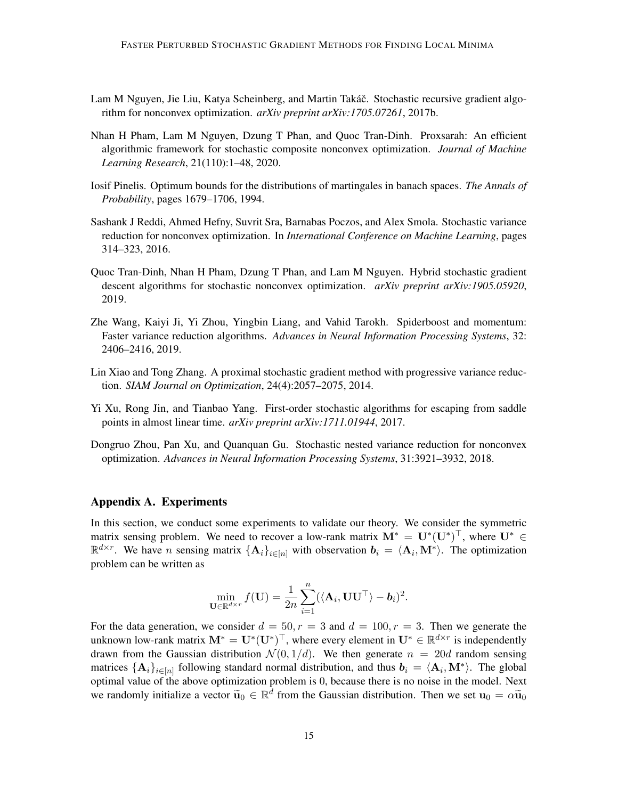- <span id="page-14-0"></span>Lam M Nguyen, Jie Liu, Katya Scheinberg, and Martin Takáč. Stochastic recursive gradient algorithm for nonconvex optimization. *arXiv preprint arXiv:1705.07261*, 2017b.
- <span id="page-14-1"></span>Nhan H Pham, Lam M Nguyen, Dzung T Phan, and Quoc Tran-Dinh. Proxsarah: An efficient algorithmic framework for stochastic composite nonconvex optimization. *Journal of Machine Learning Research*, 21(110):1–48, 2020.
- <span id="page-14-9"></span>Iosif Pinelis. Optimum bounds for the distributions of martingales in banach spaces. *The Annals of Probability*, pages 1679–1706, 1994.
- <span id="page-14-4"></span>Sashank J Reddi, Ahmed Hefny, Suvrit Sra, Barnabas Poczos, and Alex Smola. Stochastic variance reduction for nonconvex optimization. In *International Conference on Machine Learning*, pages 314–323, 2016.
- <span id="page-14-6"></span>Quoc Tran-Dinh, Nhan H Pham, Dzung T Phan, and Lam M Nguyen. Hybrid stochastic gradient descent algorithms for stochastic nonconvex optimization. *arXiv preprint arXiv:1905.05920*, 2019.
- <span id="page-14-5"></span>Zhe Wang, Kaiyi Ji, Yi Zhou, Yingbin Liang, and Vahid Tarokh. Spiderboost and momentum: Faster variance reduction algorithms. *Advances in Neural Information Processing Systems*, 32: 2406–2416, 2019.
- <span id="page-14-3"></span>Lin Xiao and Tong Zhang. A proximal stochastic gradient method with progressive variance reduction. *SIAM Journal on Optimization*, 24(4):2057–2075, 2014.
- <span id="page-14-7"></span>Yi Xu, Rong Jin, and Tianbao Yang. First-order stochastic algorithms for escaping from saddle points in almost linear time. *arXiv preprint arXiv:1711.01944*, 2017.
- <span id="page-14-2"></span>Dongruo Zhou, Pan Xu, and Quanquan Gu. Stochastic nested variance reduction for nonconvex optimization. *Advances in Neural Information Processing Systems*, 31:3921–3932, 2018.

## <span id="page-14-8"></span>Appendix A. Experiments

In this section, we conduct some experiments to validate our theory. We consider the symmetric matrix sensing problem. We need to recover a low-rank matrix  $M^* = U^*(U^*)^\top$ , where  $U^* \in$  $\mathbb{R}^{d \times r}$ . We have *n* sensing matrix  $\{\mathbf{A}_i\}_{i \in [n]}$  with observation  $\mathbf{b}_i = \langle \mathbf{A}_i, \mathbf{M}^* \rangle$ . The optimization problem can be written as

$$
\min_{\mathbf{U}\in\mathbb{R}^{d\times r}}f(\mathbf{U})=\frac{1}{2n}\sum_{i=1}^n(\langle\mathbf{A}_i,\mathbf{U}\mathbf{U}^{\top}\rangle-\boldsymbol{b}_i)^2.
$$

For the data generation, we consider  $d = 50, r = 3$  and  $d = 100, r = 3$ . Then we generate the unknown low-rank matrix  $M^* = U^*(U^*)^\top$ , where every element in  $U^* \in \mathbb{R}^{d \times r}$  is independently drawn from the Gaussian distribution  $\mathcal{N}(0, 1/d)$ . We then generate  $n = 20d$  random sensing matrices  $\{A_i\}_{i\in[n]}$  following standard normal distribution, and thus  $b_i = \langle A_i, M^* \rangle$ . The global optimal value of the above optimization problem is 0, because there is no noise in the model. Next we randomly initialize a vector  $\tilde{u}_0 \in \mathbb{R}^d$  from the Gaussian distribution. Then we set  $u_0 = \alpha \tilde{u}_0$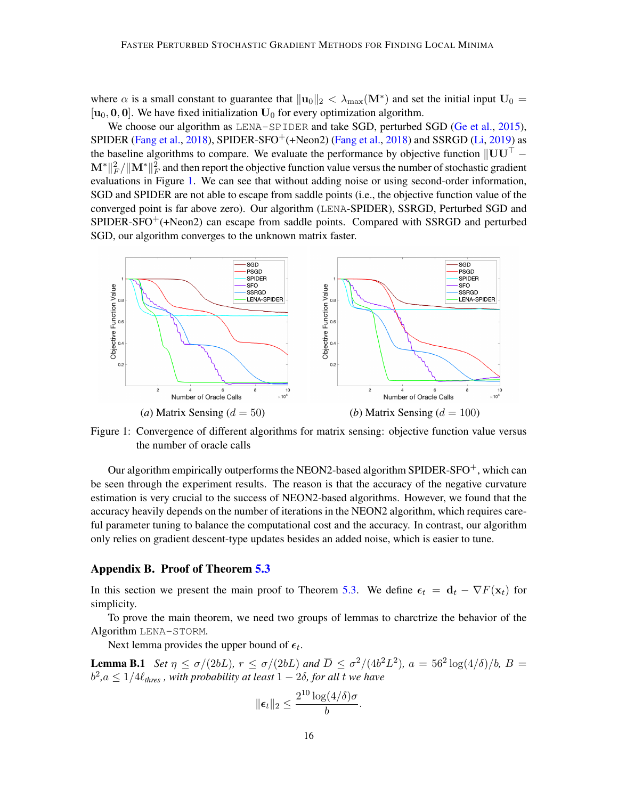where  $\alpha$  is a small constant to guarantee that  $\|\mathbf{u}_0\|_2 < \lambda_{\max}(\mathbf{M}^*)$  and set the initial input  $\mathbf{U}_0 =$  $[u_0, 0, 0]$ . We have fixed initialization  $U_0$  for every optimization algorithm.

We choose our algorithm as LENA-SPIDER and take SGD, perturbed SGD [\(Ge et al.,](#page-13-5) [2015\)](#page-13-5), SPIDER [\(Fang et al.,](#page-13-8) [2018\)](#page-13-8), SPIDER-SFO<sup>+</sup>(+Neon2) (Fang et al., 2018) and SSRGD [\(Li,](#page-13-7) [2019\)](#page-13-7) as the baseline algorithms to compare. We evaluate the performance by objective function  $\parallel \mathbf{UU} \parallel \mathbf{M}^*\|^2_F/\|\mathbf{M}^*\|^2_F$  and then report the objective function value versus the number of stochastic gradient evaluations in Figure [1.](#page-15-0) We can see that without adding noise or using second-order information, SGD and SPIDER are not able to escape from saddle points (i.e., the objective function value of the converged point is far above zero). Our algorithm (LENA-SPIDER), SSRGD, Perturbed SGD and  $SPIDER-SPO^+(+Neon2)$  can escape from saddle points. Compared with SSRGD and perturbed SGD, our algorithm converges to the unknown matrix faster.



<span id="page-15-0"></span>Figure 1: Convergence of different algorithms for matrix sensing: objective function value versus the number of oracle calls

Our algorithm empirically outperforms the NEON2-based algorithm SPIDER-SFO<sup>+</sup>, which can be seen through the experiment results. The reason is that the accuracy of the negative curvature estimation is very crucial to the success of NEON2-based algorithms. However, we found that the accuracy heavily depends on the number of iterations in the NEON2 algorithm, which requires careful parameter tuning to balance the computational cost and the accuracy. In contrast, our algorithm only relies on gradient descent-type updates besides an added noise, which is easier to tune.

#### <span id="page-15-2"></span>Appendix B. Proof of Theorem [5.3](#page-7-1)

In this section we present the main proof to Theorem [5.3.](#page-7-1) We define  $\epsilon_t = d_t - \nabla F(\mathbf{x}_t)$  for simplicity.

To prove the main theorem, we need two groups of lemmas to charctrize the behavior of the Algorithm LENA-STORM.

Next lemma provides the upper bound of  $\epsilon_t$ .

**Lemma B.1** *Set*  $\eta \leq \sigma/(2bL)$ ,  $r \leq \sigma/(2bL)$  and  $\overline{D} \leq \sigma^2/(4b^2L^2)$ ,  $a = 56^2 \log(4/\delta)/b$ ,  $B =$  $b^2$ , $a \leq 1/4\ell_{thres}$  , with probability at least  $1-2\delta$ , for all t we have

<span id="page-15-1"></span>
$$
\|\boldsymbol{\epsilon}_t\|_2 \leq \frac{2^{10}\log(4/\delta)\sigma}{b}.
$$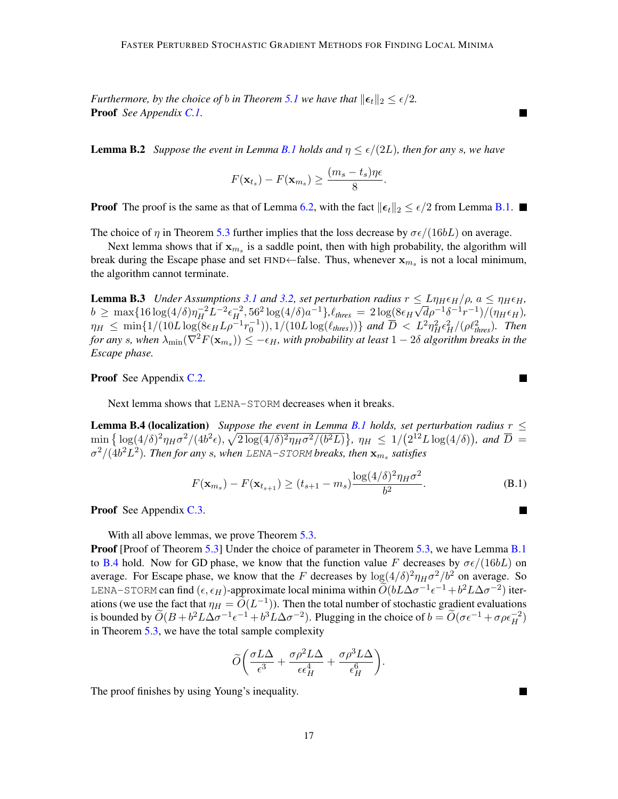*Furthermore, by the choice of b in Theorem [5.1](#page-6-2) we have that*  $\|\epsilon_t\|_2 \leq \epsilon/2$ *.* Proof *See Appendix [C.1.](#page-18-0)*

**Lemma B.2** *Suppose the event in Lemma [B.1](#page-15-1) holds and*  $\eta \le \epsilon/(2L)$ *, then for any s, we have* 

$$
F(\mathbf{x}_{t_s}) - F(\mathbf{x}_{m_s}) \ge \frac{(m_s - t_s)\eta\epsilon}{8}.
$$

**Proof** The proof is the same as that of Lemma [6.2,](#page-8-1) with the fact  $||\epsilon_t||_2 \leq \epsilon/2$  from Lemma [B.1.](#page-15-1)

The choice of  $\eta$  in Theorem [5.3](#page-7-1) further implies that the loss decrease by  $\sigma \epsilon/(16bL)$  on average.

Next lemma shows that if  $x_{m_s}$  is a saddle point, then with high probability, the algorithm will break during the Escape phase and set  $FIND \leftarrow false$ . Thus, whenever  $x_{m_s}$  is not a local minimum, the algorithm cannot terminate.

<span id="page-16-1"></span>**Lemma B.3** *Under Assumptions* [3.1](#page-3-1) *and* [3.2,](#page-3-0) *set perturbation radius*  $r \le L\eta_H \epsilon_H / \rho$ ,  $a \le \eta_H \epsilon_H$ ,  $b \ge \max\{16\log(4/\delta)\eta_H^{-2}L^{-2}\epsilon_H^{-2}, 56^2\log(4/\delta)a^{-1}\}, \ell_{thres} = 2\log(8\epsilon_H\sqrt{d}\rho^{-1}\delta^{-1}r^{-1})/(\eta_H\epsilon_H)$  $\eta_H \le \min\{1/(10L\log(8\epsilon_H L\rho^{-1}r_0^{-1})), 1/(10L\log(\ell_{thres}))\}$  and  $\overline{D} < L^2\eta_H^2\epsilon_H^2/(\rho\ell_{thres}^2)$ . Then for any  $s$ , when  $\lambda_{\min}(\nabla^2 F(\mathbf{x}_{m_s}))\leq -\epsilon_H$ , with probability at least  $1-2\delta$  algorithm breaks in the *Escape phase.*

Proof See Appendix [C.2.](#page-20-0)

Next lemma shows that LENA-STORM decreases when it breaks.

Lemma B.4 (localization) *Suppose the event in Lemma [B.1](#page-15-1) holds, set perturbation radius* r ≤  $\min\left\{\log(4/\delta)^2\eta_H\sigma^2/(4b^2\epsilon),\sqrt{2\log(4/\delta)^2\eta_H\sigma^2/(b^2L)}\right\},\ \eta_H\ \leq\ 1/\left(2^{12}L\log(4/\delta)\right),\ and\ \overline{D}=\frac{1}{2}\left(2^{12}L\log(4/\delta)\right),\ \eta_H\leq\ 1$  $\sigma^2/(\dot{4}b^2L^2)$ . Then for any s, when LENA-STORM breaks, then  $\mathbf{x}_{m_s}$  satisfies

$$
F(\mathbf{x}_{m_s}) - F(\mathbf{x}_{t_{s+1}}) \ge (t_{s+1} - m_s) \frac{\log(4/\delta)^2 \eta_H \sigma^2}{b^2}.
$$
 (B.1)

Proof See Appendix [C.3.](#page-21-0)

With all above lemmas, we prove Theorem [5.3.](#page-7-1)

**Proof** [Proof of Theorem [5.3\]](#page-7-1) Under the choice of parameter in Theorem [5.3,](#page-7-1) we have Lemma [B.1](#page-15-1) to [B.4](#page-16-0) hold. Now for GD phase, we know that the function value F decreases by  $\sigma \epsilon/(16bL)$  on average. For Escape phase, we know that the F decreases by  $\log(4/\delta)^2 \eta_H \sigma^2/b^2$  on average. So LENA-STORM can find  $(\epsilon, \epsilon_H)$ -approximate local minima within  $\widetilde{O}(bL\Delta\sigma^{-1}\epsilon^{-1}+b^2L\Delta\sigma^{-2})$  iterations (we use the fact that  $\eta_H = \widetilde{O}(L^{-1})$ ). Then the total number of stochastic gradient evaluations is bounded by  $\widetilde{O}(B + b^2 L \Delta \sigma^{-1} \epsilon^{-1} + b^3 L \Delta \sigma^{-2})$ . Plugging in the choice of  $b = \widetilde{O}(\sigma \epsilon^{-1} + \sigma \rho \epsilon_H^{-2})$ in Theorem [5.3,](#page-7-1) we have the total sample complexity

$$
\widetilde{O}\bigg(\frac{\sigma L\Delta}{\epsilon^3} + \frac{\sigma\rho^2 L\Delta}{\epsilon\epsilon_H^4} + \frac{\sigma\rho^3 L\Delta}{\epsilon_H^6}\bigg).
$$

The proof finishes by using Young's inequality.

 $\blacksquare$ 

a s

<span id="page-16-0"></span> $\blacksquare$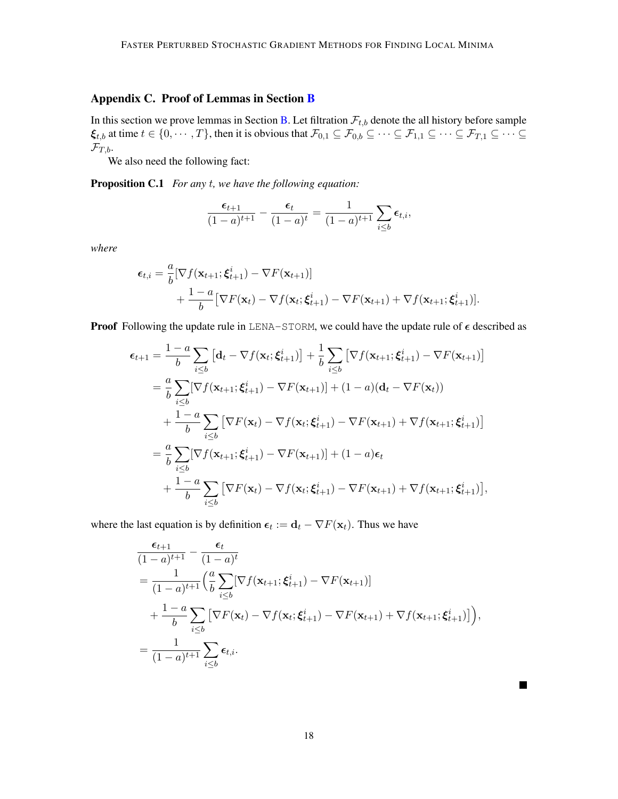# <span id="page-17-1"></span>Appendix C. Proof of Lemmas in Section [B](#page-15-2)

In this section we prove lemmas in Section [B.](#page-15-2) Let filtration  $\mathcal{F}_{t,b}$  denote the all history before sample  $\xi_{t,b}$  at time  $t \in \{0, \dots, T\}$ , then it is obvious that  $\mathcal{F}_{0,1} \subseteq \mathcal{F}_{0,b} \subseteq \dots \subseteq \mathcal{F}_{1,1} \subseteq \dots \subseteq \mathcal{F}_{T,1} \subseteq \dots \subseteq$  $\mathcal{F}_{T,b}.$ 

We also need the following fact:

Proposition C.1 *For any* t*, we have the following equation:*

<span id="page-17-0"></span>
$$
\frac{\epsilon_{t+1}}{(1-a)^{t+1}} - \frac{\epsilon_t}{(1-a)^t} = \frac{1}{(1-a)^{t+1}} \sum_{i \leq b} \epsilon_{t,i},
$$

*where*

$$
\epsilon_{t,i} = \frac{a}{b} [\nabla f(\mathbf{x}_{t+1}; \boldsymbol{\xi}_{t+1}^i) - \nabla F(\mathbf{x}_{t+1})] + \frac{1-a}{b} [\nabla F(\mathbf{x}_t) - \nabla f(\mathbf{x}_t; \boldsymbol{\xi}_{t+1}^i) - \nabla F(\mathbf{x}_{t+1}) + \nabla f(\mathbf{x}_{t+1}; \boldsymbol{\xi}_{t+1}^i)].
$$

**Proof** Following the update rule in LENA-STORM, we could have the update rule of  $\epsilon$  described as

$$
\epsilon_{t+1} = \frac{1-a}{b} \sum_{i \leq b} \left[ d_t - \nabla f(\mathbf{x}_t; \xi_{t+1}^i) \right] + \frac{1}{b} \sum_{i \leq b} \left[ \nabla f(\mathbf{x}_{t+1}; \xi_{t+1}^i) - \nabla F(\mathbf{x}_{t+1}) \right]
$$
  
\n
$$
= \frac{a}{b} \sum_{i \leq b} \left[ \nabla f(\mathbf{x}_{t+1}; \xi_{t+1}^i) - \nabla F(\mathbf{x}_{t+1}) \right] + (1-a)(\mathbf{d}_t - \nabla F(\mathbf{x}_t))
$$
  
\n
$$
+ \frac{1-a}{b} \sum_{i \leq b} \left[ \nabla F(\mathbf{x}_t) - \nabla f(\mathbf{x}_t; \xi_{t+1}^i) - \nabla F(\mathbf{x}_{t+1}) + \nabla f(\mathbf{x}_{t+1}; \xi_{t+1}^i) \right]
$$
  
\n
$$
= \frac{a}{b} \sum_{i \leq b} \left[ \nabla f(\mathbf{x}_{t+1}; \xi_{t+1}^i) - \nabla F(\mathbf{x}_{t+1}) \right] + (1-a)\epsilon_t
$$
  
\n
$$
+ \frac{1-a}{b} \sum_{i \leq b} \left[ \nabla F(\mathbf{x}_t) - \nabla f(\mathbf{x}_t; \xi_{t+1}^i) - \nabla F(\mathbf{x}_{t+1}) + \nabla f(\mathbf{x}_{t+1}; \xi_{t+1}^i) \right],
$$

where the last equation is by definition  $\epsilon_t := \mathbf{d}_t - \nabla F(\mathbf{x}_t)$ . Thus we have

$$
\frac{\epsilon_{t+1}}{(1-a)^{t+1}} - \frac{\epsilon_t}{(1-a)^t}
$$
\n
$$
= \frac{1}{(1-a)^{t+1}} \left( \frac{a}{b} \sum_{i \le b} [\nabla f(\mathbf{x}_{t+1}; \xi_{t+1}^i) - \nabla F(\mathbf{x}_{t+1})] + \frac{1-a}{b} \sum_{i \le b} [\nabla F(\mathbf{x}_t) - \nabla f(\mathbf{x}_t; \xi_{t+1}^i) - \nabla F(\mathbf{x}_{t+1}) + \nabla f(\mathbf{x}_{t+1}; \xi_{t+1}^i)] \right),
$$
\n
$$
= \frac{1}{(1-a)^{t+1}} \sum_{i \le b} \epsilon_{t,i}.
$$

 $\blacksquare$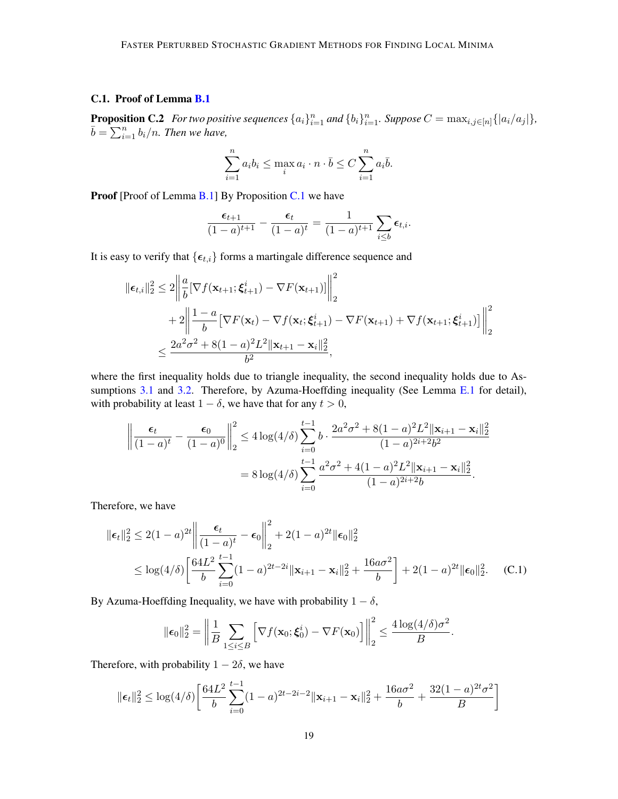## <span id="page-18-0"></span>C.1. Proof of Lemma [B.1](#page-15-1)

<span id="page-18-1"></span>**Proposition C.2** For two positive sequences  $\{a_i\}_{i=1}^n$  and  $\{b_i\}_{i=1}^n$ . Suppose  $C = \max_{i,j \in [n]} \{|a_i/a_j|\}$ ,  $\bar{b} = \sum_{i=1}^{n} b_i/n$ . Then we have,

$$
\sum_{i=1}^{n} a_i b_i \le \max_i a_i \cdot n \cdot \overline{b} \le C \sum_{i=1}^{n} a_i \overline{b}.
$$

Proof [Proof of Lemma [B.1\]](#page-15-1) By Proposition [C.1](#page-17-0) we have

$$
\frac{\epsilon_{t+1}}{(1-a)^{t+1}}-\frac{\epsilon_t}{(1-a)^t}=\frac{1}{(1-a)^{t+1}}\sum_{i\leq b}\epsilon_{t,i}.
$$

It is easy to verify that  $\{\epsilon_{t,i}\}$  forms a martingale difference sequence and

$$
\|\epsilon_{t,i}\|_{2}^{2} \leq 2 \left\| \frac{a}{b} [\nabla f(\mathbf{x}_{t+1}; \xi_{t+1}^{i}) - \nabla F(\mathbf{x}_{t+1})] \right\|_{2}^{2}
$$
  
+ 
$$
2 \left\| \frac{1-a}{b} [\nabla F(\mathbf{x}_{t}) - \nabla f(\mathbf{x}_{t}; \xi_{t+1}^{i}) - \nabla F(\mathbf{x}_{t+1}) + \nabla f(\mathbf{x}_{t+1}; \xi_{t+1}^{i})] \right\|_{2}^{2}
$$
  

$$
\leq \frac{2a^{2} \sigma^{2} + 8(1-a)^{2} L^{2} \|\mathbf{x}_{t+1} - \mathbf{x}_{i}\|_{2}^{2}}{b^{2}},
$$

where the first inequality holds due to triangle inequality, the second inequality holds due to As-sumptions [3.1](#page-3-1) and [3.2.](#page-3-0) Therefore, by Azuma-Hoeffding inequality (See Lemma [E.1](#page-27-0) for detail), with probability at least  $1 - \delta$ , we have that for any  $t > 0$ ,

$$
\left\| \frac{\epsilon_t}{(1-a)^t} - \frac{\epsilon_0}{(1-a)^0} \right\|_2^2 \le 4 \log(4/\delta) \sum_{i=0}^{t-1} b \cdot \frac{2a^2 \sigma^2 + 8(1-a)^2 L^2 \|\mathbf{x}_{i+1} - \mathbf{x}_i\|_2^2}{(1-a)^{2i+2} b^2}
$$

$$
= 8 \log(4/\delta) \sum_{i=0}^{t-1} \frac{a^2 \sigma^2 + 4(1-a)^2 L^2 \|\mathbf{x}_{i+1} - \mathbf{x}_i\|_2^2}{(1-a)^{2i+2} b}.
$$

Therefore, we have

$$
\|\boldsymbol{\epsilon}_{t}\|_{2}^{2} \leq 2(1-a)^{2t} \left\| \frac{\boldsymbol{\epsilon}_{t}}{(1-a)^{t}} - \boldsymbol{\epsilon}_{0} \right\|_{2}^{2} + 2(1-a)^{2t} \|\boldsymbol{\epsilon}_{0}\|_{2}^{2}
$$
  
 
$$
\leq \log(4/\delta) \left[ \frac{64L^{2}}{b} \sum_{i=0}^{t-1} (1-a)^{2t-2i} \|\mathbf{x}_{i+1} - \mathbf{x}_{i}\|_{2}^{2} + \frac{16a\sigma^{2}}{b} \right] + 2(1-a)^{2t} \|\boldsymbol{\epsilon}_{0}\|_{2}^{2}.
$$
 (C.1)

By Azuma-Hoeffding Inequality, we have with probability  $1 - \delta$ ,

$$
\|\boldsymbol{\epsilon}_0\|_2^2 = \left\|\frac{1}{B}\sum_{1\leq i\leq B}\left[\nabla f(\mathbf{x}_0;\boldsymbol{\xi}_0^i)-\nabla F(\mathbf{x}_0)\right]\right\|_2^2 \leq \frac{4\log(4/\delta)\sigma^2}{B}.
$$

Therefore, with probability  $1 - 2\delta$ , we have

$$
\|\boldsymbol{\epsilon}_t\|_2^2 \leq \log(4/\delta) \left[ \frac{64L^2}{b} \sum_{i=0}^{t-1} (1-a)^{2t-2i-2} \|\mathbf{x}_{i+1} - \mathbf{x}_i\|_2^2 + \frac{16a\sigma^2}{b} + \frac{32(1-a)^{2t}\sigma^2}{B} \right]
$$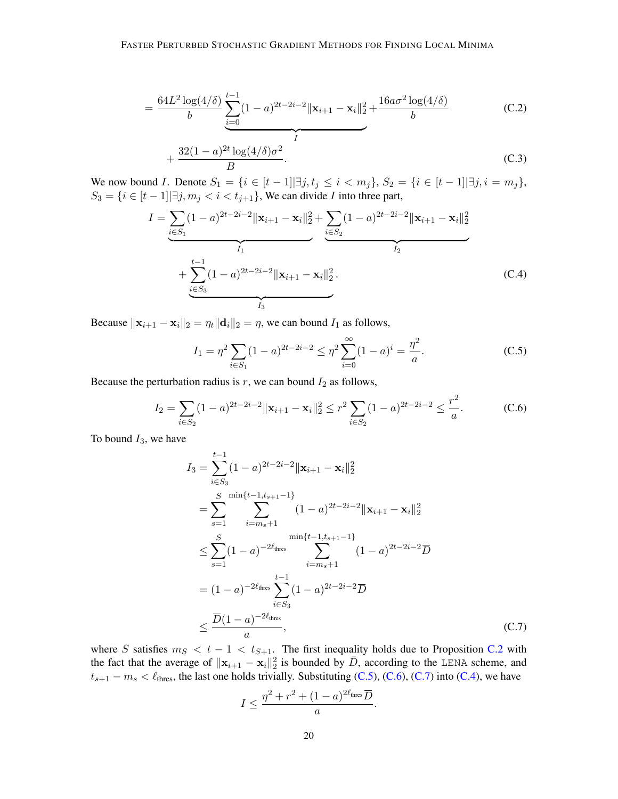$$
= \frac{64L^2 \log(4/\delta)}{b} \underbrace{\sum_{i=0}^{t-1} (1-a)^{2t-2i-2} ||\mathbf{x}_{i+1} - \mathbf{x}_i||_2^2}_{I} + \frac{16a\sigma^2 \log(4/\delta)}{b}
$$
(C.2)

<span id="page-19-4"></span>
$$
+\frac{32(1-a)^{2t}\log(4/\delta)\sigma^2}{B}.
$$
 (C.3)

We now bound *I*. Denote  $S_1 = \{i \in [t-1] | \exists j, t_j \le i \le m_j\}, S_2 = \{i \in [t-1] | \exists j, i = m_j\},$  $S_3 = \{i \in [t-1] | \exists j, m_j < i < t_{j+1}\}\,$ , We can divide I into three part,

$$
I = \underbrace{\sum_{i \in S_1} (1-a)^{2t-2i-2} ||\mathbf{x}_{i+1} - \mathbf{x}_i||_2^2}_{I_1} + \underbrace{\sum_{i \in S_2} (1-a)^{2t-2i-2} ||\mathbf{x}_{i+1} - \mathbf{x}_i||_2^2}_{I_2} + \underbrace{\sum_{i \in S_3} (1-a)^{2t-2i-2} ||\mathbf{x}_{i+1} - \mathbf{x}_i||_2^2}_{I_3}.
$$
 (C.4)

Because  $\|\mathbf{x}_{i+1} - \mathbf{x}_i\|_2 = \eta_t \|\mathbf{d}_i\|_2 = \eta$ , we can bound  $I_1$  as follows,

<span id="page-19-3"></span><span id="page-19-1"></span><span id="page-19-0"></span>
$$
I_1 = \eta^2 \sum_{i \in S_1} (1 - a)^{2t - 2i - 2} \le \eta^2 \sum_{i = 0}^{\infty} (1 - a)^i = \frac{\eta^2}{a}.
$$
 (C.5)

Because the perturbation radius is  $r$ , we can bound  $I_2$  as follows,

$$
I_2 = \sum_{i \in S_2} (1 - a)^{2t - 2i - 2} ||\mathbf{x}_{i+1} - \mathbf{x}_i||_2^2 \le r^2 \sum_{i \in S_2} (1 - a)^{2t - 2i - 2} \le \frac{r^2}{a}.
$$
 (C.6)

To bound  $I_3$ , we have

$$
I_3 = \sum_{i \in S_3}^{t-1} (1-a)^{2t-2i-2} ||\mathbf{x}_{i+1} - \mathbf{x}_i||_2^2
$$
  
\n
$$
= \sum_{s=1}^{S} \sum_{i=m_s+1}^{\min\{t-1, t_{s+1}-1\}} (1-a)^{2t-2i-2} ||\mathbf{x}_{i+1} - \mathbf{x}_i||_2^2
$$
  
\n
$$
\leq \sum_{s=1}^{S} (1-a)^{-2\ell_{\text{thres}}} \sum_{i=m_s+1}^{\min\{t-1, t_{s+1}-1\}} (1-a)^{2t-2i-2} \overline{D}
$$
  
\n
$$
= (1-a)^{-2\ell_{\text{thres}}} \sum_{i \in S_3}^{\ell-1} (1-a)^{2t-2i-2} \overline{D}
$$
  
\n
$$
\leq \frac{\overline{D}(1-a)^{-2\ell_{\text{thres}}}}{a}, \qquad (C.7)
$$

where S satisfies  $m<sub>S</sub> < t - 1 < t<sub>S+1</sub>$ . The first inequality holds due to Proposition [C.2](#page-18-1) with the fact that the average of  $||\mathbf{x}_{i+1} - \mathbf{x}_i||_2^2$  is bounded by  $\bar{D}$ , according to the LENA scheme, and  $t_{s+1} - m_s < l_{\text{thres}}$ , the last one holds trivially. Substituting [\(C.5\)](#page-19-0), [\(C.6\)](#page-19-1), [\(C.7\)](#page-19-2) into [\(C.4\)](#page-19-3), we have

<span id="page-19-2"></span>
$$
I \leq \frac{\eta^2 + r^2 + (1 - a)^{2\ell_{\text{thres}}}\overline{D}}{a}.
$$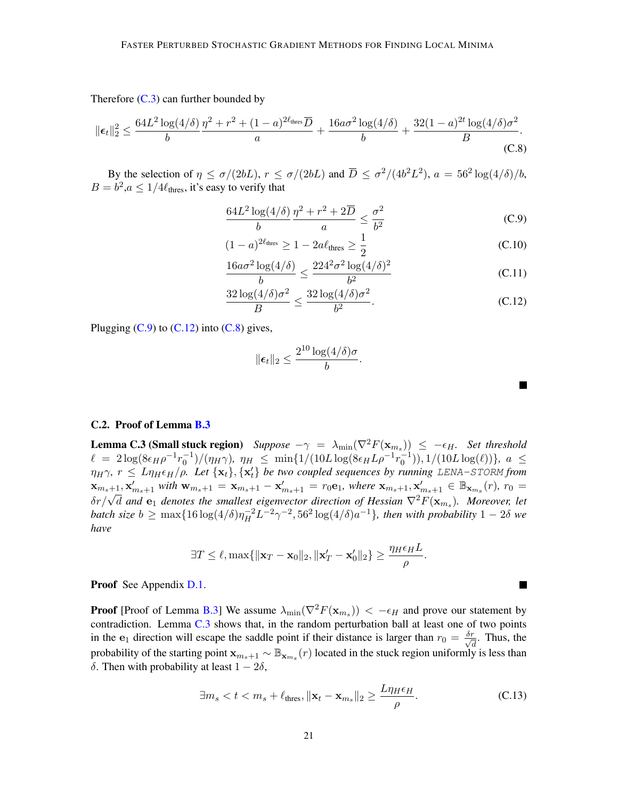Therefore  $(C.3)$  can further bounded by

$$
\|\epsilon_t\|_2^2 \le \frac{64L^2\log(4/\delta)}{b} \frac{\eta^2 + r^2 + (1-a)^{2\ell_{\text{thres}}}\overline{D}}{a} + \frac{16a\sigma^2\log(4/\delta)}{b} + \frac{32(1-a)^{2t}\log(4/\delta)\sigma^2}{B}.
$$
\n(C.8)

By the selection of  $\eta \le \sigma/(2bL)$ ,  $r \le \sigma/(2bL)$  and  $\overline{D} \le \sigma^2/(4b^2L^2)$ ,  $a = 56^2 \log(4/\delta)/b$ ,  $B = b^2, a \leq 1/4\ell_{\text{thres}},$  it's easy to verify that

$$
\frac{64L^2\log(4/\delta)}{b}\frac{\eta^2 + r^2 + 2\overline{D}}{a} \le \frac{\sigma^2}{b^2}
$$
 (C.9)

$$
(1 - a)^{2\ell_{\text{thres}}} \ge 1 - 2a\ell_{\text{thres}} \ge \frac{1}{2}
$$
 (C.10)

$$
\frac{16a\sigma^2\log(4/\delta)}{b} \le \frac{224^2\sigma^2\log(4/\delta)^2}{b^2}
$$
\n(C.11)

$$
\frac{32\log(4/\delta)\sigma^2}{B} \le \frac{32\log(4/\delta)\sigma^2}{b^2}.
$$
\n(C.12)

Plugging  $(C.9)$  to  $(C.12)$  into  $(C.8)$  gives,

$$
\|\boldsymbol{\epsilon}_t\|_2 \leq \frac{2^{10}\log(4/\delta)\sigma}{b}.
$$

<span id="page-20-3"></span><span id="page-20-2"></span><span id="page-20-1"></span>

<span id="page-20-5"></span>M

#### <span id="page-20-0"></span>C.2. Proof of Lemma [B.3](#page-16-1)

<span id="page-20-4"></span>**Lemma C.3 (Small stuck region)** *Suppose*  $-\gamma = \lambda_{\min}(\nabla^2 F(\mathbf{x}_{m_s})) \leq -\epsilon_H$ . *Set threshold*  $\ell = 2\log(8\epsilon_H \rho^{-1} r_0^{-1})/(\eta_H \gamma)$ ,  $\eta_H \le \min\{1/(10L\log(8\epsilon_H L \rho^{-1} r_0^{-1})), 1/(10L\log(\ell))\}$ ,  $a \le$  $\eta_H\gamma$ ,  $r \leq L\eta_H\epsilon_H/\rho$ . Let  $\{{\bf x}_t\},\{{\bf x}'_t\}$  be two coupled sequences by running LENA-STORM from  ${\bf x}_{m_s+1}, {\bf x}'_{m_s+1}$  with  ${\bf w}_{m_s+1} = {\bf x}_{m_s+1} - {\bf x}'_{m_s+1} = r_0{\bf e}_1$ , where  ${\bf x}_{m_s+1}, {\bf x}'_{m_s+1} \in \mathbb{B}_{{\bf x}_{m_s}}(r)$ ,  $r_0 =$  $\Delta_{m_s+1}, \Delta_{m_s+1}$  with  $\mathbf{w}_{m_s+1} - \mathbf{\Lambda}_{m_s+1} - \mathbf{\Lambda}_{m_s+1} - \tau_0 \mathbf{e}_1$ , where  $\Delta_{m_s+1}, \Delta_{m_s+1} \in \mathbb{D}_{\mathbf{x}_{m_s}}(t)$ ,  $\tau_0 = \delta r / \sqrt{d}$  and  $\mathbf{e}_1$  denotes the smallest eigenvector direction of Hessian  $\nabla^2 F(\mathbf{x}_{m_s})$ *batch size*  $b \ge \max\{16 \log(4/\delta)\eta_H^{-2}L^{-2}\gamma^{-2}, 56^2 \log(4/\delta)a^{-1}\}$ *, then with probability*  $1 - 2\delta$  *we have*

$$
\exists T \leq \ell, \max\{\|\mathbf{x}_T - \mathbf{x}_0\|_2, \|\mathbf{x}_T' - \mathbf{x}_0'\|_2\} \geq \frac{\eta_H \epsilon_H L}{\rho}.
$$

Proof See Appendix [D.1.](#page-22-0)

**Proof** [Proof of Lemma [B.3\]](#page-16-1) We assume  $\lambda_{\min}(\nabla^2 F(\mathbf{x}_{m_s})) < -\epsilon_H$  and prove our statement by contradiction. Lemma [C.3](#page-20-4) shows that, in the random perturbation ball at least one of two points in the  $e_1$  direction will escape the saddle point if their distance is larger than  $r_0 = \frac{\delta r}{\sqrt{\delta}}$  $\frac{r}{d}$ . Thus, the probability of the starting point  $\mathbf{x}_{m_s+1} \sim \mathbb{B}_{\mathbf{x}_{m_s}}(r)$  located in the stuck region uniformly is less than δ. Then with probability at least  $1 - 2δ$ ,

$$
\exists m_s < t < m_s + \ell_{\text{thres}}, \|\mathbf{x}_t - \mathbf{x}_{m_s}\|_2 \ge \frac{L\eta_H \epsilon_H}{\rho}.\tag{C.13}
$$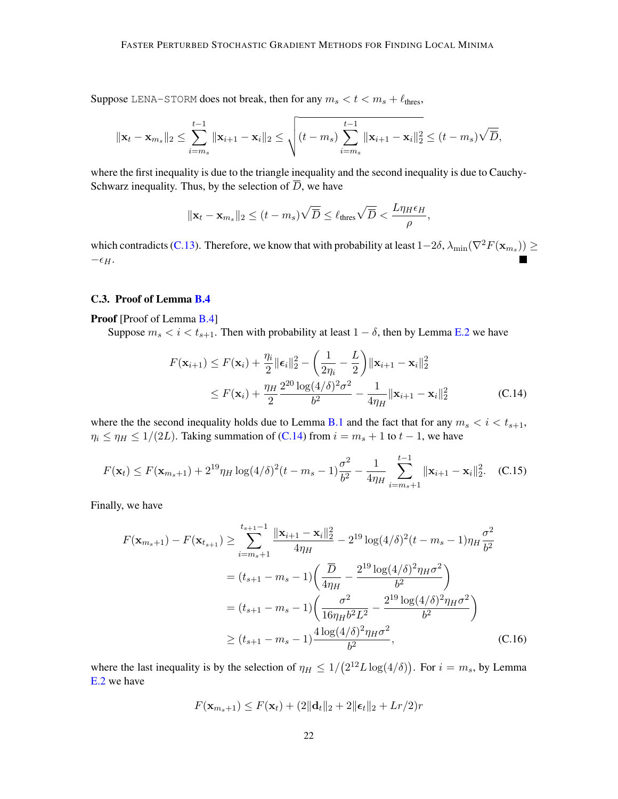Suppose LENA-STORM does not break, then for any  $m_s < t < m_s + \ell_{\text{thres}}$ ,

$$
\|\mathbf{x}_{t}-\mathbf{x}_{m_{s}}\|_{2} \leq \sum_{i=m_{s}}^{t-1} \|\mathbf{x}_{i+1}-\mathbf{x}_{i}\|_{2} \leq \sqrt{(t-m_{s})\sum_{i=m_{s}}^{t-1} \|\mathbf{x}_{i+1}-\mathbf{x}_{i}\|_{2}^{2}} \leq (t-m_{s})\sqrt{\overline{D}},
$$

where the first inequality is due to the triangle inequality and the second inequality is due to Cauchy-Schwarz inequality. Thus, by the selection of  $\overline{D}$ , we have

$$
\|\mathbf{x}_t - \mathbf{x}_{m_s}\|_2 \le (t - m_s) \sqrt{\overline{D}} \le \ell_{\text{thres}} \sqrt{\overline{D}} < \frac{L\eta_H \epsilon_H}{\rho},
$$

which contradicts [\(C.13\)](#page-20-5). Therefore, we know that with probability at least  $1-2\delta$ ,  $\lambda_{\min}(\nabla^2 F(\mathbf{x}_{m_s})) \geq$  $-\epsilon_H$ .

# <span id="page-21-0"></span>C.3. Proof of Lemma [B.4](#page-16-0)

Proof [Proof of Lemma [B.4\]](#page-16-0)

Suppose  $m_s < i < t_{s+1}$ . Then with probability at least  $1 - \delta$ , then by Lemma [E.2](#page-27-1) we have

<span id="page-21-1"></span>
$$
F(\mathbf{x}_{i+1}) \le F(\mathbf{x}_i) + \frac{\eta_i}{2} \|\boldsymbol{\epsilon}_i\|_2^2 - \left(\frac{1}{2\eta_i} - \frac{L}{2}\right) \|\mathbf{x}_{i+1} - \mathbf{x}_i\|_2^2
$$
  
\n
$$
\le F(\mathbf{x}_i) + \frac{\eta_H}{2} \frac{2^{20} \log(4/\delta)^2 \sigma^2}{b^2} - \frac{1}{4\eta_H} \|\mathbf{x}_{i+1} - \mathbf{x}_i\|_2^2
$$
 (C.14)

where the the second inequality holds due to Lemma [B.1](#page-15-1) and the fact that for any  $m_s < i < t_{s+1}$ ,  $\eta_i \leq \eta_H \leq 1/(2L)$ . Taking summation of [\(C.14\)](#page-21-1) from  $i = m_s + 1$  to  $t - 1$ , we have

$$
F(\mathbf{x}_t) \le F(\mathbf{x}_{m_s+1}) + 2^{19} \eta_H \log(4/\delta)^2 (t - m_s - 1) \frac{\sigma^2}{b^2} - \frac{1}{4\eta_H} \sum_{i=m_s+1}^{t-1} ||\mathbf{x}_{i+1} - \mathbf{x}_i||_2^2.
$$
 (C.15)

Finally, we have

$$
F(\mathbf{x}_{m_s+1}) - F(\mathbf{x}_{t_{s+1}}) \geq \sum_{i=m_s+1}^{t_{s+1}-1} \frac{\|\mathbf{x}_{i+1} - \mathbf{x}_i\|_2^2}{4\eta_H} - 2^{19} \log(4/\delta)^2 (t - m_s - 1)\eta_H \frac{\sigma^2}{b^2}
$$
  
=  $(t_{s+1} - m_s - 1) \left(\frac{\overline{D}}{4\eta_H} - \frac{2^{19} \log(4/\delta)^2 \eta_H \sigma^2}{b^2}\right)$   
=  $(t_{s+1} - m_s - 1) \left(\frac{\sigma^2}{16\eta_H b^2 L^2} - \frac{2^{19} \log(4/\delta)^2 \eta_H \sigma^2}{b^2}\right)$   
 $\geq (t_{s+1} - m_s - 1) \frac{4 \log(4/\delta)^2 \eta_H \sigma^2}{b^2},$  (C.16)

where the last inequality is by the selection of  $\eta_H \leq 1/(2^{12}L \log(4/\delta))$ . For  $i = m_s$ , by Lemma [E.2](#page-27-1) we have

<span id="page-21-2"></span>
$$
F(\mathbf{x}_{m_s+1}) \leq F(\mathbf{x}_t) + (2\|\mathbf{d}_t\|_2 + 2\|\boldsymbol{\epsilon}_t\|_2 + Lr/2)r
$$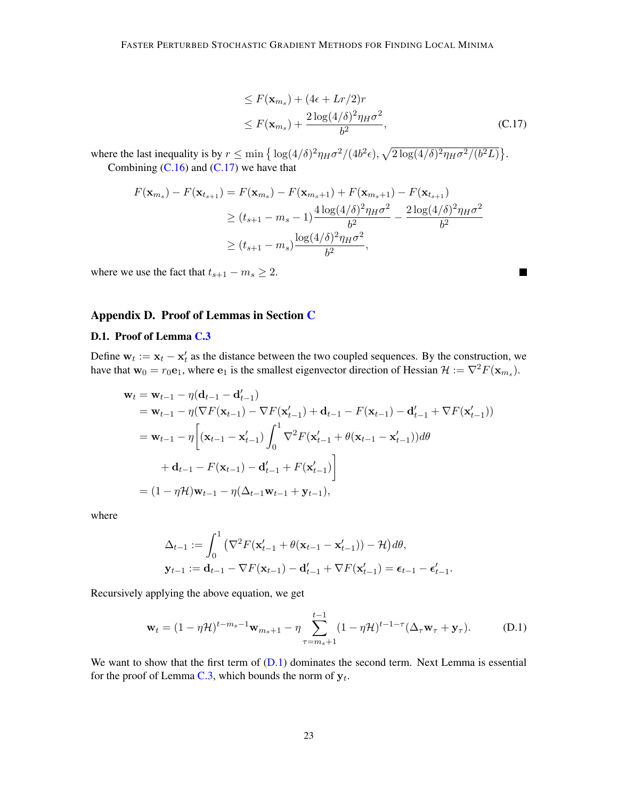$$
\leq F(\mathbf{x}_{m_s}) + (4\epsilon + Lr/2)r
$$
  
\n
$$
\leq F(\mathbf{x}_{m_s}) + \frac{2\log(4/\delta)^2 \eta_H \sigma^2}{b^2},
$$
\n(C.17)

<span id="page-22-2"></span><span id="page-22-1"></span> $\blacksquare$ 

where the last inequality is by  $r \le \min\left\{\log(4/\delta)^2 \eta_H \sigma^2/(4b^2 \epsilon), \sqrt{2\log(4/\delta)^2 \eta_H \sigma^2/(b^2 L)}\right\}.$ Combining  $(C.16)$  and  $(C.17)$  we have that

$$
F(\mathbf{x}_{m_s}) - F(\mathbf{x}_{t_{s+1}}) = F(\mathbf{x}_{m_s}) - F(\mathbf{x}_{m_s+1}) + F(\mathbf{x}_{m_s+1}) - F(\mathbf{x}_{t_{s+1}})
$$
  
\n
$$
\ge (t_{s+1} - m_s - 1) \frac{4 \log(4/\delta)^2 \eta_H \sigma^2}{b^2} - \frac{2 \log(4/\delta)^2 \eta_H \sigma^2}{b^2}
$$
  
\n
$$
\ge (t_{s+1} - m_s) \frac{\log(4/\delta)^2 \eta_H \sigma^2}{b^2},
$$

where we use the fact that  $t_{s+1} - m_s \geq 2$ .

# Appendix D. Proof of Lemmas in Section [C](#page-17-1)

#### <span id="page-22-0"></span>D.1. Proof of Lemma [C.3](#page-20-4)

Define  $w_t := x_t - x'_t$  as the distance between the two coupled sequences. By the construction, we have that  $w_0 = r_0 e_1$ , where  $e_1$  is the smallest eigenvector direction of Hessian  $\mathcal{H} := \nabla^2 F(\mathbf{x}_{m_s})$ .

$$
\mathbf{w}_{t} = \mathbf{w}_{t-1} - \eta(\mathbf{d}_{t-1} - \mathbf{d}'_{t-1})
$$
  
=  $\mathbf{w}_{t-1} - \eta(\nabla F(\mathbf{x}_{t-1}) - \nabla F(\mathbf{x}'_{t-1}) + \mathbf{d}_{t-1} - F(\mathbf{x}_{t-1}) - \mathbf{d}'_{t-1} + \nabla F(\mathbf{x}'_{t-1}))$   
=  $\mathbf{w}_{t-1} - \eta \left[ (\mathbf{x}_{t-1} - \mathbf{x}'_{t-1}) \int_{0}^{1} \nabla^{2} F(\mathbf{x}'_{t-1} + \theta(\mathbf{x}_{t-1} - \mathbf{x}'_{t-1})) d\theta + \mathbf{d}_{t-1} - F(\mathbf{x}_{t-1}) - \mathbf{d}'_{t-1} + F(\mathbf{x}'_{t-1}) \right]$   
=  $(1 - \eta \mathcal{H}) \mathbf{w}_{t-1} - \eta (\Delta_{t-1} \mathbf{w}_{t-1} + \mathbf{y}_{t-1}),$ 

where

$$
\Delta_{t-1} := \int_0^1 \left( \nabla^2 F(\mathbf{x}'_{t-1} + \theta(\mathbf{x}_{t-1} - \mathbf{x}'_{t-1})) - \mathcal{H} \right) d\theta,
$$
  
\n
$$
\mathbf{y}_{t-1} := \mathbf{d}_{t-1} - \nabla F(\mathbf{x}_{t-1}) - \mathbf{d}'_{t-1} + \nabla F(\mathbf{x}'_{t-1}) = \boldsymbol{\epsilon}_{t-1} - \boldsymbol{\epsilon}'_{t-1}.
$$

Recursively applying the above equation, we get

$$
\mathbf{w}_{t} = (1 - \eta \mathcal{H})^{t - m_{s} - 1} \mathbf{w}_{m_{s} + 1} - \eta \sum_{\tau = m_{s} + 1}^{t - 1} (1 - \eta \mathcal{H})^{t - 1 - \tau} (\Delta_{\tau} \mathbf{w}_{\tau} + \mathbf{y}_{\tau}).
$$
 (D.1)

<span id="page-22-3"></span>We want to show that the first term of  $(D.1)$  dominates the second term. Next Lemma is essential for the proof of Lemma [C.3,](#page-20-4) which bounds the norm of  $y_t$ .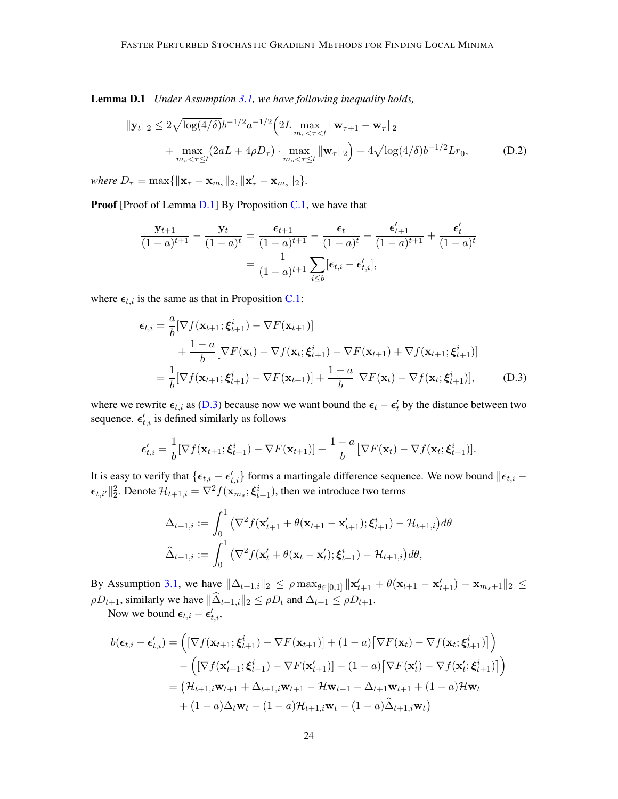Lemma D.1 *Under Assumption [3.1,](#page-3-1) we have following inequality holds,*

$$
\|\mathbf{y}_t\|_2 \le 2\sqrt{\log(4/\delta)}b^{-1/2}a^{-1/2}\left(2L\max_{m_s < \tau < t} \|\mathbf{w}_{\tau+1} - \mathbf{w}_{\tau}\|_2 + \max_{m_s < \tau \le t} (2aL + 4\rho D_{\tau}) \cdot \max_{m_s < \tau \le t} \|\mathbf{w}_{\tau}\|_2 + 4\sqrt{\log(4/\delta)}b^{-1/2}Lr_0, \tag{D.2}
$$

*where*  $D_{\tau} = \max\{\|\mathbf{x}_{\tau} - \mathbf{x}_{m_s}\|_2, \|\mathbf{x}'_{\tau} - \mathbf{x}_{m_s}\|_2\}.$ 

Proof [Proof of Lemma [D.1\]](#page-22-3) By Proposition [C.1,](#page-17-0) we have that

<span id="page-23-1"></span>
$$
\frac{\mathbf{y}_{t+1}}{(1-a)^{t+1}} - \frac{\mathbf{y}_t}{(1-a)^t} = \frac{\epsilon_{t+1}}{(1-a)^{t+1}} - \frac{\epsilon_t}{(1-a)^t} - \frac{\epsilon'_{t+1}}{(1-a)^{t+1}} + \frac{\epsilon'_t}{(1-a)^t}
$$

$$
= \frac{1}{(1-a)^{t+1}} \sum_{i \le b} [\epsilon_{t,i} - \epsilon'_{t,i}],
$$

where  $\epsilon_{t,i}$  is the same as that in Proposition [C.1:](#page-17-0)

<span id="page-23-0"></span>
$$
\epsilon_{t,i} = \frac{a}{b} [\nabla f(\mathbf{x}_{t+1}; \boldsymbol{\xi}_{t+1}^i) - \nabla F(\mathbf{x}_{t+1})]
$$
  
+ 
$$
\frac{1-a}{b} [\nabla F(\mathbf{x}_t) - \nabla f(\mathbf{x}_t; \boldsymbol{\xi}_{t+1}^i) - \nabla F(\mathbf{x}_{t+1}) + \nabla f(\mathbf{x}_{t+1}; \boldsymbol{\xi}_{t+1}^i)]
$$
  
= 
$$
\frac{1}{b} [\nabla f(\mathbf{x}_{t+1}; \boldsymbol{\xi}_{t+1}^i) - \nabla F(\mathbf{x}_{t+1})] + \frac{1-a}{b} [\nabla F(\mathbf{x}_t) - \nabla f(\mathbf{x}_t; \boldsymbol{\xi}_{t+1}^i)],
$$
 (D.3)

where we rewrite  $\epsilon_{t,i}$  as [\(D.3\)](#page-23-0) because now we want bound the  $\epsilon_t - \epsilon'_t$  by the distance between two sequence.  $\epsilon'_{t,i}$  is defined similarly as follows

$$
\epsilon'_{t,i} = \frac{1}{b} [\nabla f(\mathbf{x}_{t+1}; \boldsymbol{\xi}^i_{t+1}) - \nabla F(\mathbf{x}_{t+1})] + \frac{1-a}{b} [\nabla F(\mathbf{x}_t) - \nabla f(\mathbf{x}_t; \boldsymbol{\xi}^i_{t+1})].
$$

It is easy to verify that  $\{\epsilon_{t,i} - \epsilon_{t,i}'\}$  forms a martingale difference sequence. We now bound  $\|\epsilon_{t,i} - \epsilon_{t,i}\|$  $\epsilon_{t,i'}\|^2_2$ . Denote  $\mathcal{H}_{t+1,i} = \nabla^2 f(\mathbf{x}_{m_s}; \boldsymbol{\xi}_{t+1}^i)$ , then we introduce two terms

$$
\Delta_{t+1,i} := \int_0^1 \left( \nabla^2 f(\mathbf{x}'_{t+1} + \theta(\mathbf{x}_{t+1} - \mathbf{x}'_{t+1}); \xi_{t+1}^i) - \mathcal{H}_{t+1,i} \right) d\theta
$$
  

$$
\widehat{\Delta}_{t+1,i} := \int_0^1 \left( \nabla^2 f(\mathbf{x}'_t + \theta(\mathbf{x}_t - \mathbf{x}'_t); \xi_{t+1}^i) - \mathcal{H}_{t+1,i} \right) d\theta,
$$

By Assumption [3.1,](#page-3-1) we have  $\|\Delta_{t+1,i}\|_2 \leq \rho \max_{\theta \in [0,1]} \| \mathbf{x}'_{t+1} + \theta(\mathbf{x}_{t+1} - \mathbf{x}'_{t+1}) - \mathbf{x}_{m_s+1} \|_2 \leq$  $\rho D_{t+1}$ , similarly we have  $\|\widehat{\Delta}_{t+1,i}\|_2 \leq \rho D_t$  and  $\Delta_{t+1} \leq \rho D_{t+1}$ .

Now we bound  $\epsilon_{t,i} - \epsilon'_{t,i}$ ,

$$
b(\epsilon_{t,i} - \epsilon'_{t,i}) = \left( [\nabla f(\mathbf{x}_{t+1}; \xi_{t+1}^i) - \nabla F(\mathbf{x}_{t+1})] + (1 - a) [\nabla F(\mathbf{x}_t) - \nabla f(\mathbf{x}_t; \xi_{t+1}^i)] \right) - \left( [\nabla f(\mathbf{x}'_{t+1}; \xi_{t+1}^i) - \nabla F(\mathbf{x}'_{t+1})] - (1 - a) [\nabla F(\mathbf{x}'_t) - \nabla f(\mathbf{x}'_t; \xi_{t+1}^i)] \right) = (\mathcal{H}_{t+1,i} \mathbf{w}_{t+1} + \Delta_{t+1,i} \mathbf{w}_{t+1} - \mathcal{H} \mathbf{w}_{t+1} - \Delta_{t+1} \mathbf{w}_{t+1} + (1 - a) \mathcal{H} \mathbf{w}_t + (1 - a) \Delta_t \mathbf{w}_t - (1 - a) \mathcal{H}_{t+1,i} \mathbf{w}_t - (1 - a) \hat{\Delta}_{t+1,i} \mathbf{w}_t)
$$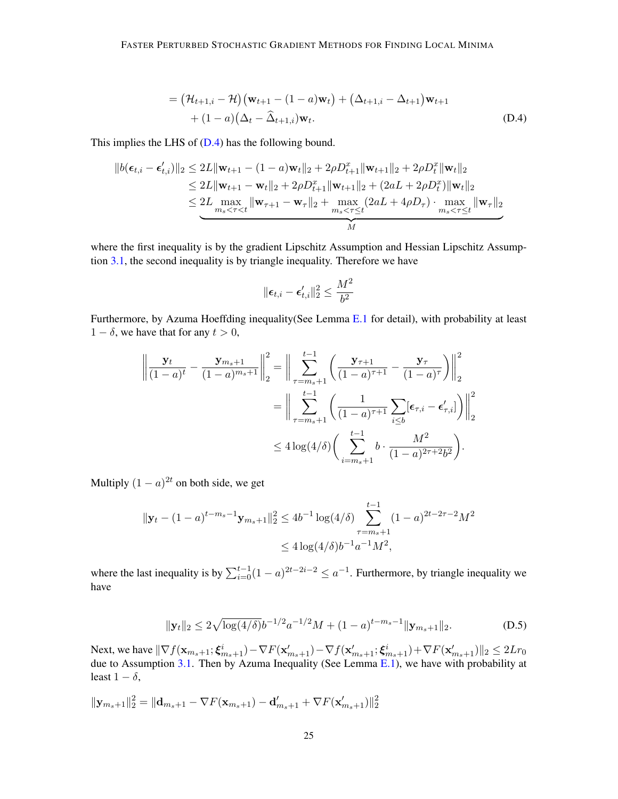$$
= (\mathcal{H}_{t+1,i} - \mathcal{H})(\mathbf{w}_{t+1} - (1 - a)\mathbf{w}_t) + (\Delta_{t+1,i} - \Delta_{t+1})\mathbf{w}_{t+1} + (1 - a)(\Delta_t - \widehat{\Delta}_{t+1,i})\mathbf{w}_t.
$$
 (D.4)

This implies the LHS of [\(D.4\)](#page-24-0) has the following bound.

$$
||b(\epsilon_{t,i} - \epsilon'_{t,i})||_2 \le 2L||\mathbf{w}_{t+1} - (1 - a)\mathbf{w}_t||_2 + 2\rho D_{t+1}^x ||\mathbf{w}_{t+1}||_2 + 2\rho D_t^x ||\mathbf{w}_t||_2
$$
  
\n
$$
\le 2L||\mathbf{w}_{t+1} - \mathbf{w}_t||_2 + 2\rho D_{t+1}^x ||\mathbf{w}_{t+1}||_2 + (2aL + 2\rho D_t^x) ||\mathbf{w}_t||_2
$$
  
\n
$$
\le 2L \max_{m_s < \tau < t} ||\mathbf{w}_{\tau+1} - \mathbf{w}_{\tau}||_2 + \max_{m_s < \tau \le t} (2aL + 4\rho D_{\tau}) \cdot \max_{m_s < \tau \le t} ||\mathbf{w}_{\tau}||_2
$$

where the first inequality is by the gradient Lipschitz Assumption and Hessian Lipschitz Assumption [3.1,](#page-3-1) the second inequality is by triangle inequality. Therefore we have

<span id="page-24-0"></span>
$$
\|\boldsymbol{\epsilon}_{t,i}-\boldsymbol{\epsilon}_{t,i}'\|_2^2 \leq \frac{M^2}{b^2}
$$

Furthermore, by Azuma Hoeffding inequality(See Lemma [E.1](#page-27-0) for detail), with probability at least  $1 - \delta$ , we have that for any  $t > 0$ ,

$$
\left\| \frac{\mathbf{y}_t}{(1-a)^t} - \frac{\mathbf{y}_{m_s+1}}{(1-a)^{m_s+1}} \right\|_2^2 = \left\| \sum_{\tau=m_s+1}^{t-1} \left( \frac{\mathbf{y}_{\tau+1}}{(1-a)^{\tau+1}} - \frac{\mathbf{y}_{\tau}}{(1-a)^{\tau}} \right) \right\|_2^2
$$
  
= 
$$
\left\| \sum_{\tau=m_s+1}^{t-1} \left( \frac{1}{(1-a)^{\tau+1}} \sum_{i \le b} [\epsilon_{\tau,i} - \epsilon'_{\tau,i}] \right) \right\|_2^2
$$
  

$$
\le 4 \log(4/\delta) \left( \sum_{i=m_s+1}^{t-1} b \cdot \frac{M^2}{(1-a)^{2\tau+2} b^2} \right).
$$

Multiply  $(1 - a)^{2t}$  on both side, we get

$$
\|\mathbf{y}_t - (1-a)^{t-m_s-1}\mathbf{y}_{m_s+1}\|_2^2 \le 4b^{-1} \log(4/\delta) \sum_{\tau=m_s+1}^{t-1} (1-a)^{2t-2\tau-2} M^2
$$
  

$$
\le 4 \log(4/\delta) b^{-1} a^{-1} M^2,
$$

where the last inequality is by  $\sum_{i=0}^{t-1} (1 - a)^{2t-2i-2} \le a^{-1}$ . Furthermore, by triangle inequality we have

<span id="page-24-1"></span>
$$
\|\mathbf{y}_t\|_2 \le 2\sqrt{\log(4/\delta)}b^{-1/2}a^{-1/2}M + (1-a)^{t-m_s-1}\|\mathbf{y}_{m_s+1}\|_2.
$$
 (D.5)

Next, we have  $\|\nabla f(\mathbf{x}_{m_s+1}; \boldsymbol{\xi}^i_{m_s+1}) - \nabla F(\mathbf{x}'_{m_s+1}) - \nabla f(\mathbf{x}'_{m_s+1}; \boldsymbol{\xi}^i_{m_s+1}) + \nabla F(\mathbf{x}'_{m_s+1})\|_2 \leq 2Lr_0$ due to Assumption [3.1.](#page-3-1) Then by Azuma Inequality (See Lemma [E.1\)](#page-27-0), we have with probability at least  $1 - \delta$ ,

$$
\|\mathbf{y}_{m_s+1}\|_{2}^{2} = \|\mathbf{d}_{m_s+1} - \nabla F(\mathbf{x}_{m_s+1}) - \mathbf{d}'_{m_s+1} + \nabla F(\mathbf{x}'_{m_s+1})\|_{2}^{2}
$$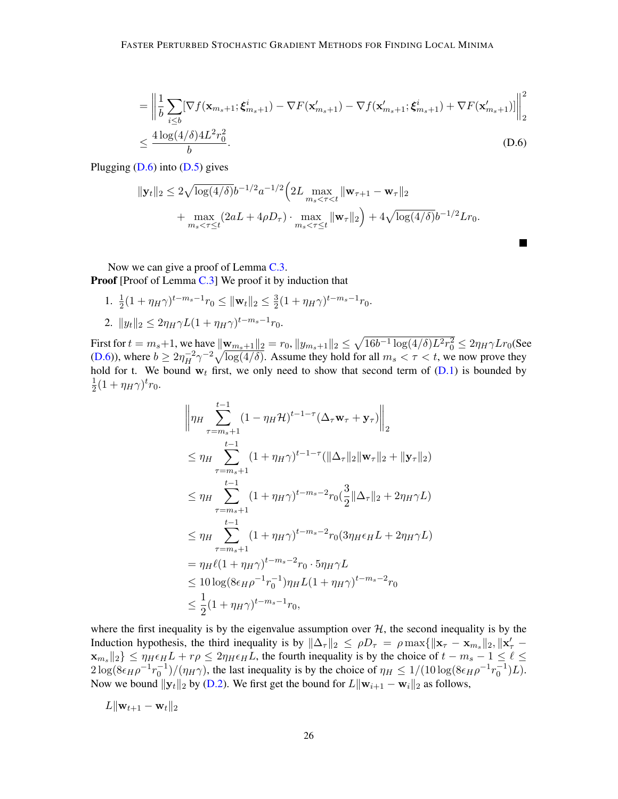$$
= \left\| \frac{1}{b} \sum_{i \le b} [\nabla f(\mathbf{x}_{m_s+1}; \boldsymbol{\xi}_{m_s+1}^i) - \nabla F(\mathbf{x}'_{m_s+1}) - \nabla f(\mathbf{x}'_{m_s+1}; \boldsymbol{\xi}_{m_s+1}^i) + \nabla F(\mathbf{x}'_{m_s+1})] \right\|_2^2
$$
  

$$
\le \frac{4 \log(4/\delta) 4L^2 r_0^2}{b}.
$$
 (D.6)

<span id="page-25-0"></span>**In the Second** 

Plugging  $(D.6)$  into  $(D.5)$  gives

$$
\|\mathbf{y}_t\|_2 \le 2\sqrt{\log(4/\delta)}b^{-1/2}a^{-1/2}\left(2L\max_{m_s < \tau < t} \|\mathbf{w}_{\tau+1} - \mathbf{w}_{\tau}\|_2 + \max_{m_s < \tau \le t} (2aL + 4\rho D_{\tau}) \cdot \max_{m_s < \tau \le t} \|\mathbf{w}_{\tau}\|_2 + 4\sqrt{\log(4/\delta)}b^{-1/2}Lr_0.
$$

Now we can give a proof of Lemma [C.3.](#page-20-4) **Proof** [Proof of Lemma  $C.3$ ] We proof it by induction that

1.  $\frac{1}{2}(1 + \eta_H \gamma)^{t-m_s-1} r_0 \le ||\mathbf{w}_t||_2 \le \frac{3}{2}$  $\frac{3}{2}(1 + \eta_H \gamma)^{t - m_s - 1} r_0.$ 2.  $||y_t||_2 \leq 2\eta_H \gamma L (1 + \eta_H \gamma)^{t-m_s-1} r_0.$ 

First for  $t = m_s + 1$ , we have  $\|\mathbf{w}_{m_s+1}\|_2 = r_0$ ,  $\|y_{m_s+1}\|_2 \leq \sqrt{16b^{-1}\log(4/\delta)L^2 r_0^2} \leq 2\eta_H \gamma L r_0$ (See [\(D.6\)](#page-25-0)), where  $b \ge 2\eta_H^{-2} \gamma^{-2} \sqrt{\log(4/\delta)}$ . Assume they hold for all  $m_s < \tau < t$ , we now prove they hold for t. We bound  $w_t$  first, we only need to show that second term of  $(D.1)$  is bounded by 1  $\frac{1}{2}(1 + \eta_H \gamma)^t r_0.$ 

$$
\|\eta_{H}\sum_{\tau=m_{s}+1}^{t-1} (1-\eta_{H}\mathcal{H})^{t-1-\tau}(\Delta_{\tau}\mathbf{w}_{\tau}+\mathbf{y}_{\tau})\|_{2}
$$
\n
$$
\leq \eta_{H}\sum_{\tau=m_{s}+1}^{t-1} (1+\eta_{H}\gamma)^{t-1-\tau}(\|\Delta_{\tau}\|_{2}\|\mathbf{w}_{\tau}\|_{2}+\|\mathbf{y}_{\tau}\|_{2})
$$
\n
$$
\leq \eta_{H}\sum_{\tau=m_{s}+1}^{t-1} (1+\eta_{H}\gamma)^{t-m_{s}-2}r_{0}(\frac{3}{2}\|\Delta_{\tau}\|_{2}+2\eta_{H}\gamma L)
$$
\n
$$
\leq \eta_{H}\sum_{\tau=m_{s}+1}^{t-1} (1+\eta_{H}\gamma)^{t-m_{s}-2}r_{0}(3\eta_{H}\epsilon_{H}L+2\eta_{H}\gamma L)
$$
\n
$$
=\eta_{H}\ell(1+\eta_{H}\gamma)^{t-m_{s}-2}r_{0}\cdot5\eta_{H}\gamma L
$$
\n
$$
\leq 10\log(8\epsilon_{H}\rho^{-1}r_{0}^{-1})\eta_{H}L(1+\eta_{H}\gamma)^{t-m_{s}-2}r_{0}
$$
\n
$$
\leq \frac{1}{2}(1+\eta_{H}\gamma)^{t-m_{s}-1}r_{0},
$$

where the first inequality is by the eigenvalue assumption over  $H$ , the second inequality is by the Induction hypothesis, the third inequality is by  $\|\Delta_\tau\|_2 \le \rho D_\tau = \rho \max\{\|\mathbf{x}_{\tau} - \mathbf{x}_{m_s}\|_2, \|\mathbf{x}'_{\tau} - \mathbf{x}_{m_s}\|_2\}$  $\|\mathbf{x}_{m_s}\|_2$   $\leq \eta_H \epsilon_H L + r\rho \leq 2\eta_H \epsilon_H L$ , the fourth inequality is by the choice of  $t - m_s - 1 \leq \ell \leq 1$  $2\log(8\epsilon_H \rho^{-1} r_0^{-1})/(\eta_H \gamma)$ , the last inequality is by the choice of  $\eta_H \le 1/(10\log(8\epsilon_H \rho^{-1} r_0^{-1})L)$ . Now we bound  $||y_t||_2$  by [\(D.2\)](#page-23-1). We first get the bound for  $L||\mathbf{w}_{i+1} - \mathbf{w}_i||_2$  as follows,

$$
L\|\mathbf{w}_{t+1}-\mathbf{w}_t\|_2
$$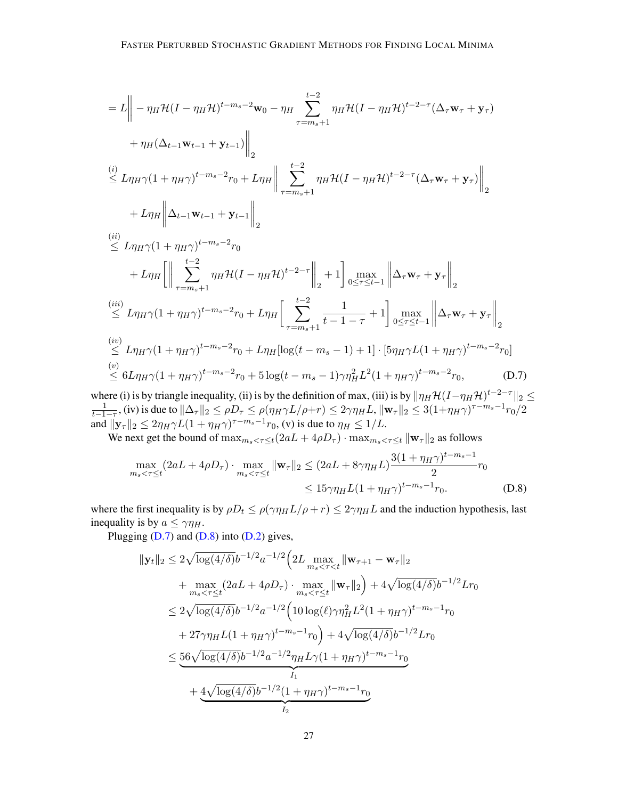$$
= L \left\| - \eta_H \mathcal{H} (I - \eta_H \mathcal{H})^{t-m_s-2} \mathbf{w}_0 - \eta_H \sum_{\tau=m_s+1}^{t-2} \eta_H \mathcal{H} (I - \eta_H \mathcal{H})^{t-2-\tau} (\Delta_{\tau} \mathbf{w}_{\tau} + \mathbf{y}_{\tau}) \right\|_{2}
$$
  
\n
$$
+ \eta_H (\Delta_{t-1} \mathbf{w}_{t-1} + \mathbf{y}_{t-1}) \Big\|_{2}
$$
  
\n(i) 
$$
L \eta_H \gamma (1 + \eta_H \gamma)^{t-m_s-2} r_0 + L \eta_H \Big\| \sum_{\tau=m_s+1}^{t-2} \eta_H \mathcal{H} (I - \eta_H \mathcal{H})^{t-2-\tau} (\Delta_{\tau} \mathbf{w}_{\tau} + \mathbf{y}_{\tau}) \Big\|_{2}
$$
  
\n
$$
+ L \eta_H \Big\| \Delta_{t-1} \mathbf{w}_{t-1} + \mathbf{y}_{t-1} \Big\|_{2}
$$
  
\n(ii) 
$$
\leq L \eta_H \gamma (1 + \eta_H \gamma)^{t-m_s-2} r_0
$$
  
\n
$$
+ L \eta_H \Big[ \Big\| \sum_{\tau=m_s+1}^{t-2} \eta_H \mathcal{H} (I - \eta_H \mathcal{H})^{t-2-\tau} \Big\|_{2} + 1 \Big] \max_{0 \leq \tau \leq t-1} \Big\| \Delta_{\tau} \mathbf{w}_{\tau} + \mathbf{y}_{\tau} \Big\|_{2}
$$
  
\n(iii) 
$$
\leq L \eta_H \gamma (1 + \eta_H \gamma)^{t-m_s-2} r_0 + L \eta_H \Big[ \sum_{\tau=m_s+1}^{t-2} \frac{1}{t-1-\tau} + 1 \Big] \max_{0 \leq \tau \leq t-1} \Big\| \Delta_{\tau} \mathbf{w}_{\tau} + \mathbf{y}_{\tau} \Big\|_{2}
$$
  
\n(iv) 
$$
\leq L \eta_H \gamma (1 + \eta_H \gamma)^{t-m_s-2} r_0 + L \eta_H [\log(t-m_s-1) + 1] \cdot [\mathcal{H} \eta_H \mathcal{H} (1 + \eta_H \gamma)^{t-m_s-2} r_0]
$$
  
\n(v) <math display="block</math>

where (i) is by triangle inequality, (ii) is by the definition of max, (iii) is by  $\|\eta_H\mathcal{H}(I-\eta_H\mathcal{H})^{t-2-\tau}\|_2 \leq$  $\frac{1}{t-1-\tau}$ , (iv) is due to  $\|\Delta_\tau\|_2 \le \rho D_\tau \le \rho(\eta_H \gamma L/\rho + r) \le 2\gamma\eta_H L$ ,  $\|\mathbf{w}_\tau\|_2 \le 3(1+\eta_H \gamma)^{\tau-m_s-1}r_0/2$ and  $||\mathbf{y}_{\tau}||_2 \leq 2\eta_H\gamma L(1 + \eta_H\gamma)^{\tau - m_s - 1}r_0$ , (v) is due to  $\eta_H \leq 1/L$ .

We next get the bound of  $\max_{m_s \leq \tau \leq t} (2aL + 4\rho D_\tau) \cdot \max_{m_s \leq \tau \leq t} ||\mathbf{w}_\tau||_2$  as follows

<span id="page-26-0"></span>
$$
\max_{m_s < \tau \le t} (2aL + 4\rho D_\tau) \cdot \max_{m_s < \tau \le t} \|\mathbf{w}_\tau\|_2 \le (2aL + 8\gamma \eta_H L) \frac{3(1 + \eta_H \gamma)^{t - m_s - 1}}{2} r_0
$$
\n
$$
\le 15\gamma \eta_H L (1 + \eta_H \gamma)^{t - m_s - 1} r_0. \tag{D.8}
$$

where the first inequality is by  $\rho D_t \leq \rho(\gamma \eta_H L/\rho + r) \leq 2\gamma \eta_H L$  and the induction hypothesis, last inequality is by  $a \leq \gamma \eta_H$ .

Plugging  $(D.7)$  and  $(D.8)$  into  $(D.2)$  gives,

<span id="page-26-1"></span>
$$
\|{\bf y}_t\|_2 \le 2\sqrt{\log(4/\delta)}b^{-1/2}a^{-1/2}\Big(2L\max_{m_s<\tau
$$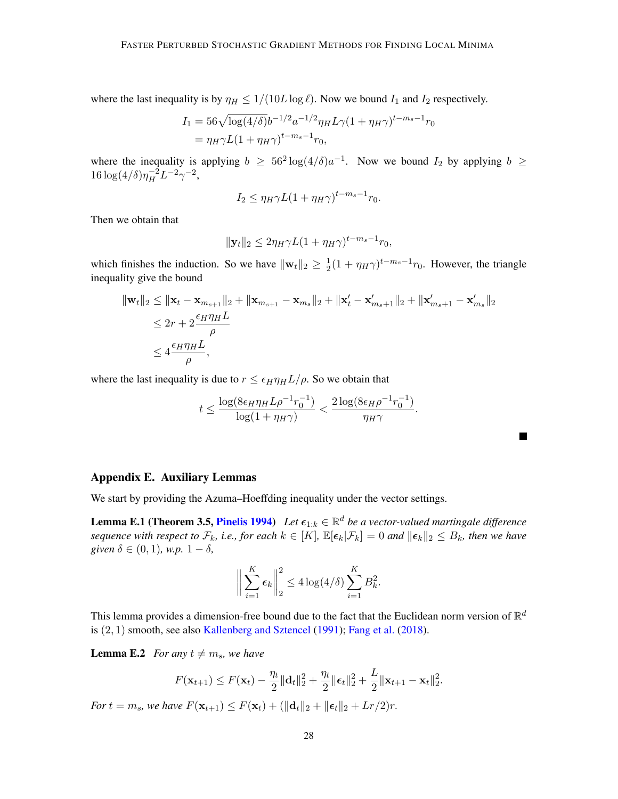where the last inequality is by  $\eta_H \leq 1/(10L \log \ell)$ . Now we bound  $I_1$  and  $I_2$  respectively.

$$
I_1 = 56\sqrt{\log(4/\delta)}b^{-1/2}a^{-1/2}\eta_H L\gamma (1 + \eta_H \gamma)^{t - m_s - 1}r_0
$$
  
=  $\eta_H \gamma L (1 + \eta_H \gamma)^{t - m_s - 1}r_0$ ,

where the inequality is applying  $b \geq 56^2 \log(4/\delta)a^{-1}$ . Now we bound  $I_2$  by applying  $b \geq 56^2 \log(4/\delta)a^{-1}$ .  $16\log(4/\delta)\eta_H^{-2}L^{-2}\gamma^{-2},$ 

$$
I_2 \le \eta_H \gamma L (1 + \eta_H \gamma)^{t - m_s - 1} r_0.
$$

Then we obtain that

$$
||\mathbf{y}_t||_2 \le 2\eta_H \gamma L (1 + \eta_H \gamma)^{t - m_s - 1} r_0,
$$

which finishes the induction. So we have  $\|\mathbf{w}_t\|_2 \geq \frac{1}{2}$  $\frac{1}{2}(1 + \eta_H \gamma)^{t-m_s-1} r_0$ . However, the triangle inequality give the bound

$$
\begin{aligned} \|\mathbf{w}_{t}\|_{2} &\leq \|\mathbf{x}_{t} - \mathbf{x}_{m_{s+1}}\|_{2} + \|\mathbf{x}_{m_{s+1}} - \mathbf{x}_{m_{s}}\|_{2} + \|\mathbf{x}'_{t} - \mathbf{x}'_{m_{s+1}}\|_{2} + \|\mathbf{x}'_{m_{s+1}} - \mathbf{x}'_{m_{s}}\|_{2} \\ &\leq 2r + 2\frac{\epsilon_{H}\eta_{H}L}{\rho} \\ &\leq 4\frac{\epsilon_{H}\eta_{H}L}{\rho}, \end{aligned}
$$

where the last inequality is due to  $r \leq \epsilon_H \eta_H L/\rho$ . So we obtain that

$$
t \le \frac{\log(8\epsilon_H \eta_H L \rho^{-1} r_0^{-1})}{\log(1 + \eta_H \gamma)} < \frac{2\log(8\epsilon_H \rho^{-1} r_0^{-1})}{\eta_H \gamma}.
$$

## Appendix E. Auxiliary Lemmas

<span id="page-27-0"></span>We start by providing the Azuma–Hoeffding inequality under the vector settings.

**Lemma E.1 (Theorem 3.5, [Pinelis](#page-14-9) [1994\)](#page-14-9)** Let  $\epsilon_{1:k} \in \mathbb{R}^d$  be a vector-valued martingale difference *sequence with respect to*  $\mathcal{F}_k$ *, i.e., for each*  $k \in [K]$ ,  $\mathbb{E}[\epsilon_k|\mathcal{F}_k] = 0$  *and*  $\|\epsilon_k\|_2 \leq B_k$ *, then we have given*  $\delta \in (0,1)$ *, w.p.*  $1 - \delta$ *,* 

$$
\bigg\|\sum_{i=1}^K \epsilon_k\bigg\|_2^2 \le 4\log(4/\delta)\sum_{i=1}^K B_k^2.
$$

This lemma provides a dimension-free bound due to the fact that the Euclidean norm version of  $\mathbb{R}^d$ is  $(2, 1)$  smooth, see also [Kallenberg and Sztencel](#page-13-14)  $(1991)$ ; [Fang et al.](#page-13-8)  $(2018)$ .

<span id="page-27-1"></span>**Lemma E.2** *For any*  $t \neq m_s$ *, we have* 

$$
F(\mathbf{x}_{t+1}) \leq F(\mathbf{x}_t) - \frac{\eta_t}{2} ||\mathbf{d}_t||_2^2 + \frac{\eta_t}{2} ||\boldsymbol{\epsilon}_t||_2^2 + \frac{L}{2} ||\mathbf{x}_{t+1} - \mathbf{x}_t||_2^2.
$$

*For*  $t = m_s$ *, we have*  $F(\mathbf{x}_{t+1}) \leq F(\mathbf{x}_t) + (\|\mathbf{d}_t\|_2 + \|\boldsymbol{\epsilon}_t\|_2 + Lr/2)r$ .